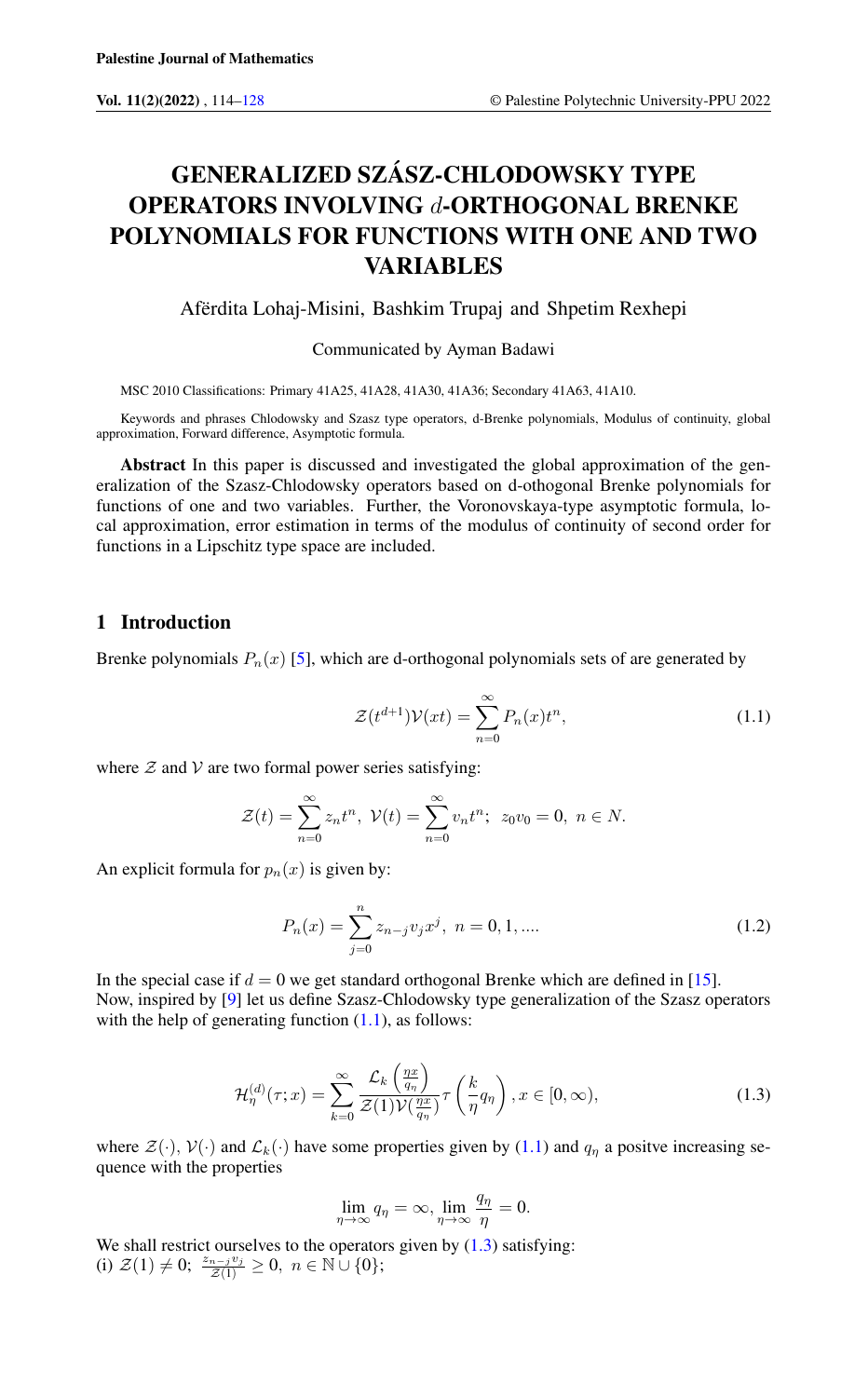# GENERALIZED SZÁSZ-CHLODOWSKY TYPE OPERATORS INVOLVING d-ORTHOGONAL BRENKE POLYNOMIALS FOR FUNCTIONS WITH ONE AND TWO **VARIABLES**

Afërdita Lohaj-Misini, Bashkim Trupaj and Shpetim Rexhepi

Communicated by Ayman Badawi

MSC 2010 Classifications: Primary 41A25, 41A28, 41A30, 41A36; Secondary 41A63, 41A10.

Keywords and phrases Chlodowsky and Szasz type operators, d-Brenke polynomials, Modulus of continuity, global approximation, Forward difference, Asymptotic formula.

Abstract In this paper is discussed and investigated the global approximation of the generalization of the Szasz-Chlodowsky operators based on d-othogonal Brenke polynomials for functions of one and two variables. Further, the Voronovskaya-type asymptotic formula, local approximation, error estimation in terms of the modulus of continuity of second order for functions in a Lipschitz type space are included.

#### 1 Introduction

Brenke polynomials  $P_n(x)$  [\[5\]](#page-14-0), which are d-orthogonal polynomials sets of are generated by

<span id="page-0-0"></span>
$$
\mathcal{Z}(t^{d+1})\mathcal{V}(xt) = \sum_{n=0}^{\infty} P_n(x)t^n,
$$
\n(1.1)

where  $\mathcal Z$  and  $\mathcal V$  are two formal power series satisfying:

$$
\mathcal{Z}(t) = \sum_{n=0}^{\infty} z_n t^n, \ \mathcal{V}(t) = \sum_{n=0}^{\infty} v_n t^n; \ \ z_0 v_0 = 0, \ n \in N.
$$

An explicit formula for  $p_n(x)$  is given by:

$$
P_n(x) = \sum_{j=0}^{n} z_{n-j} v_j x^j, \ n = 0, 1, ....
$$
\n(1.2)

In the special case if  $d = 0$  we get standard orthogonal Brenke which are defined in [\[15\]](#page-14-1). Now, inspired by [\[9\]](#page-14-2) let us define Szasz-Chlodowsky type generalization of the Szasz operators with the help of generating function  $(1.1)$ , as follows:

<span id="page-0-1"></span>
$$
\mathcal{H}_{\eta}^{(d)}(\tau;x) = \sum_{k=0}^{\infty} \frac{\mathcal{L}_{k}\left(\frac{\eta x}{q_{\eta}}\right)}{\mathcal{Z}(1)\mathcal{V}(\frac{\eta x}{q_{\eta}})} \tau\left(\frac{k}{\eta}q_{\eta}\right), x \in [0, \infty),\tag{1.3}
$$

where  $\mathcal{Z}(\cdot)$ ,  $\mathcal{V}(\cdot)$  and  $\mathcal{L}_k(\cdot)$  have some properties given by [\(1.1\)](#page-0-0) and  $q_\eta$  a positve increasing sequence with the properties

$$
\lim_{\eta \to \infty} q_{\eta} = \infty, \lim_{\eta \to \infty} \frac{q_{\eta}}{\eta} = 0.
$$

We shall restrict ourselves to the operators given by  $(1.3)$  satisfying: (i)  $\mathcal{Z}(1) \neq 0; \frac{z_{n-j}v_j}{\mathcal{Z}(1)} \geq 0, n \in \mathbb{N} \cup \{0\};$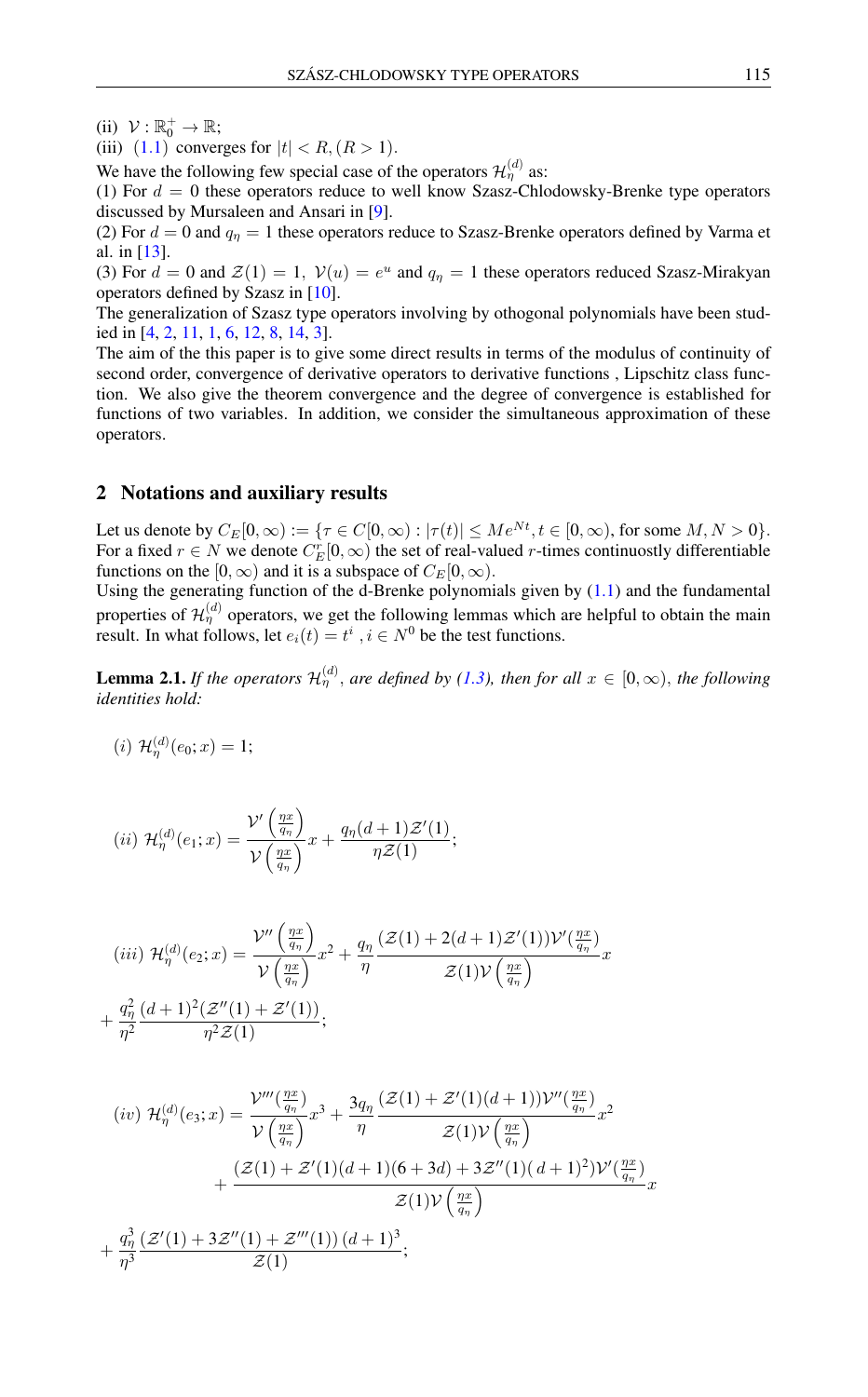- (ii)  $\mathcal{V}: \mathbb{R}_0^+ \to \mathbb{R};$
- (iii)  $(1.1)$  $(1.1)$  $(1.1)$  converges for  $|t| < R$ ,  $(R > 1)$ .

We have the following few special case of the operators  $\mathcal{H}_{\eta}^{(d)}$  as:

(1) For  $d = 0$  these operators reduce to well know Szasz-Chlodowsky-Brenke type operators discussed by Mursaleen and Ansari in [\[9\]](#page-14-2).

(2) For  $d = 0$  and  $q<sub>\eta</sub> = 1$  these operators reduce to Szasz-Brenke operators defined by Varma et al. in [\[13\]](#page-14-3).

(3) For  $d = 0$  and  $\mathcal{Z}(1) = 1$ ,  $\mathcal{V}(u) = e^u$  and  $q_\eta = 1$  these operators reduced Szasz-Mirakyan operators defined by Szasz in [\[10\]](#page-14-4).

The generalization of Szasz type operators involving by othogonal polynomials have been studied in [\[4,](#page-14-5) [2,](#page-14-6) [11,](#page-14-7) [1,](#page-13-1) [6,](#page-14-8) [12,](#page-14-9) [8,](#page-14-10) [14,](#page-14-11) [3\]](#page-14-12).

The aim of the this paper is to give some direct results in terms of the modulus of continuity of second order, convergence of derivative operators to derivative functions , Lipschitz class function. We also give the theorem convergence and the degree of convergence is established for functions of two variables. In addition, we consider the simultaneous approximation of these operators.

#### 2 Notations and auxiliary results

Let us denote by  $C_E[0,\infty) := {\tau \in C[0,\infty) : |\tau(t)| \le Me^{Nt}, t \in [0,\infty)}$ , for some  $M, N > 0$ . For a fixed  $r \in N$  we denote  $C_E^r[0,\infty)$  the set of real-valued r-times continuostly differentiable functions on the [0,  $\infty$ ) and it is a subspace of  $C_E[0, \infty)$ .

Using the generating function of the d-Brenke polynomials given by  $(1.1)$  and the fundamental properties of  $\mathcal{H}_{\eta}^{(d)}$  operators, we get the following lemmas which are helpful to obtain the main result. In what follows, let  $e_i(t) = t^i$ ,  $i \in N^0$  be the test functions.

<span id="page-1-0"></span>**Lemma 2.1.** If the operators  $\mathcal{H}_{\eta}^{(d)}$ , are defined by [\(1.3\)](#page-0-1), then for all  $x \in [0,\infty)$ , the following *identities hold:*

(*i*)  $\mathcal{H}_{\eta}^{(d)}(e_0; x) = 1;$ 

$$
(ii) \mathcal{H}_{\eta}^{(d)}(e_1; x) = \frac{\mathcal{V}'\left(\frac{\eta x}{q_{\eta}}\right)}{\mathcal{V}\left(\frac{\eta x}{q_{\eta}}\right)} x + \frac{q_{\eta}(d+1)\mathcal{Z}'(1)}{\eta \mathcal{Z}(1)};
$$

$$
(iii) \ \mathcal{H}_{\eta}^{(d)}(e_2; x) = \frac{\mathcal{V}''\left(\frac{\eta x}{q_{\eta}}\right)}{\mathcal{V}\left(\frac{\eta x}{q_{\eta}}\right)} x^2 + \frac{q_{\eta}}{\eta} \frac{(\mathcal{Z}(1) + 2(d+1)\mathcal{Z}'(1))\mathcal{V}'\left(\frac{\eta x}{q_{\eta}}\right)}{\mathcal{Z}(1)\mathcal{V}\left(\frac{\eta x}{q_{\eta}}\right)} x
$$

$$
+ \frac{q_{\eta}^2}{\eta^2} \frac{(d+1)^2(\mathcal{Z}''(1) + \mathcal{Z}'(1))}{\eta^2 \mathcal{Z}(1)};
$$

$$
(iv) \mathcal{H}_{\eta}^{(d)}(e_3; x) = \frac{\mathcal{V}'''(\frac{\eta x}{q_{\eta}})}{\mathcal{V}(\frac{\eta x}{q_{\eta}})} x^3 + \frac{3q_{\eta}}{\eta} \frac{(\mathcal{Z}(1) + \mathcal{Z}'(1)(d+1))\mathcal{V}''(\frac{\eta x}{q_{\eta}})}{\mathcal{Z}(1)\mathcal{V}(\frac{\eta x}{q_{\eta}})} x^2 + \frac{(\mathcal{Z}(1) + \mathcal{Z}'(1)(d+1)(6+3d) + 3\mathcal{Z}''(1)(d+1)^2)\mathcal{V}'(\frac{\eta x}{q_{\eta}})}{\mathcal{Z}(1)\mathcal{V}(\frac{\eta x}{q_{\eta}})} x + \frac{q_{\eta}^3}{\eta^3} \frac{(\mathcal{Z}'(1) + 3\mathcal{Z}''(1) + \mathcal{Z}'''(1)) (d+1)^3}{\mathcal{Z}(1)};
$$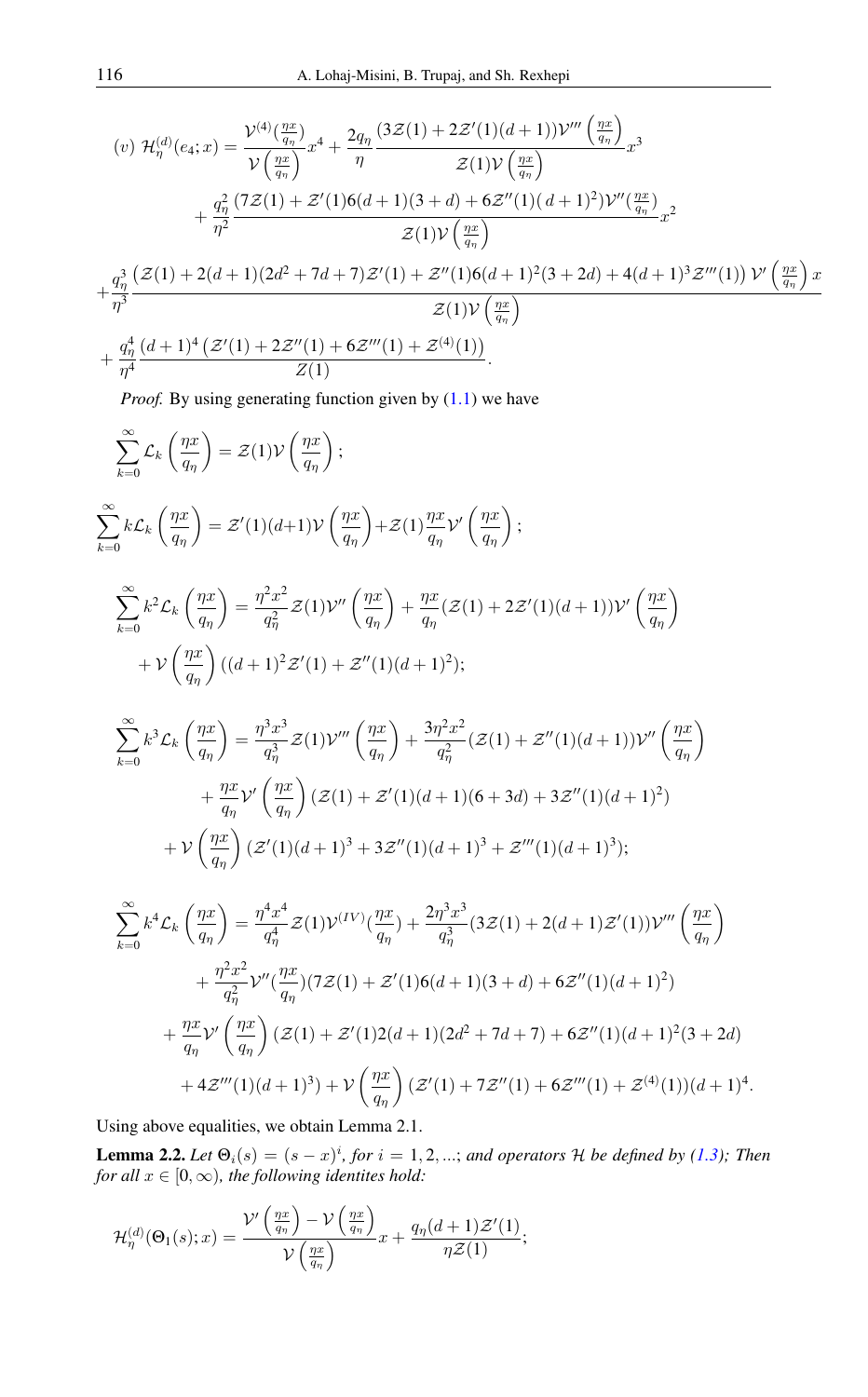$$
(v) \mathcal{H}_{\eta}^{(d)}(e_4; x) = \frac{\mathcal{V}^{(4)}(\frac{\eta x}{q_{\eta}})}{\mathcal{V}\left(\frac{\eta x}{q_{\eta}}\right)} x^4 + \frac{2q_{\eta}}{\eta} \frac{(3\mathcal{Z}(1) + 2\mathcal{Z}'(1)(d+1))\mathcal{V}'''\left(\frac{\eta x}{q_{\eta}}\right)}{\mathcal{Z}(1)\mathcal{V}\left(\frac{\eta x}{q_{\eta}}\right)} x^3 + \frac{q_{\eta}^2}{\eta^2} \frac{(7\mathcal{Z}(1) + \mathcal{Z}'(1)6(d+1)(3+d) + 6\mathcal{Z}''(1)(d+1)^2)\mathcal{V}''(\frac{\eta x}{q_{\eta}})}{\mathcal{Z}(1)\mathcal{V}\left(\frac{\eta x}{q_{\eta}}\right)} x^2 + \frac{q_{\eta}^3}{\eta^3} \frac{(\mathcal{Z}(1) + 2(d+1)(2d^2 + 7d + 7)\mathcal{Z}'(1) + \mathcal{Z}''(1)6(d+1)^2(3+2d) + 4(d+1)^3\mathcal{Z}'''(1))\mathcal{V}'\left(\frac{\eta x}{q_{\eta}}\right) x}{\mathcal{Z}(1)\mathcal{V}\left(\frac{\eta x}{q_{\eta}}\right)} + \frac{q_{\eta}^4}{\eta^4} \frac{(d+1)^4\left(\mathcal{Z}'(1) + 2\mathcal{Z}''(1) + 6\mathcal{Z}'''(1) + \mathcal{Z}^{(4)}(1)\right)}{\mathcal{Z}(1)}.
$$

*Proof.* By using generating function given by  $(1.1)$  we have

<span id="page-2-0"></span>
$$
\sum_{k=0}^{\infty} \mathcal{L}_k \left( \frac{\eta x}{q_{\eta}} \right) = \mathcal{Z}(1) \mathcal{V} \left( \frac{\eta x}{q_{\eta}} \right);
$$
\n
$$
\sum_{k=0}^{\infty} k \mathcal{L}_k \left( \frac{\eta x}{q_{\eta}} \right) = \mathcal{Z}'(1)(d+1) \mathcal{V} \left( \frac{\eta x}{q_{\eta}} \right) + \mathcal{Z}(1) \frac{\eta x}{q_{\eta}} \mathcal{V}' \left( \frac{\eta x}{q_{\eta}} \right);
$$
\n
$$
\sum_{k=0}^{\infty} k^2 \mathcal{L}_k \left( \frac{\eta x}{q_{\eta}} \right) = \frac{\eta^2 x^2}{q_{\eta}^2} \mathcal{Z}(1) \mathcal{V}'' \left( \frac{\eta x}{q_{\eta}} \right) + \frac{\eta x}{q_{\eta}} (\mathcal{Z}(1) + 2\mathcal{Z}'(1)(d+1)) \mathcal{V}' \left( \frac{\eta x}{q_{\eta}} \right)
$$
\n
$$
+ \mathcal{V} \left( \frac{\eta x}{q_{\eta}} \right) ((d+1)^2 \mathcal{Z}'(1) + \mathcal{Z}''(1)(d+1)^2);
$$
\n
$$
\sum_{k=0}^{\infty} k^3 \mathcal{L}_k \left( \frac{\eta x}{q_{\eta}} \right) = \frac{\eta^3 x^3}{q_{\eta}^3} \mathcal{Z}(1) \mathcal{V}''' \left( \frac{\eta x}{q_{\eta}} \right) + \frac{3\eta^2 x^2}{q_{\eta}^2} (\mathcal{Z}(1) + \mathcal{Z}''(1)(d+1)) \mathcal{V}'' \left( \frac{\eta x}{q_{\eta}} \right)
$$
\n
$$
+ \frac{\eta x}{q_{\eta}} \mathcal{V}' \left( \frac{\eta x}{q_{\eta}} \right) (\mathcal{Z}(1) + \mathcal{Z}'(1)(d+1)(6+3d) + 3\mathcal{Z}''(1)(d+1)^2)
$$
\n
$$
+ \mathcal{V} \left( \frac{\eta x}{q_{\eta}} \right) (\mathcal{Z}'(1)(d+1)^3 + 3\mathcal{Z}''(1)(d+1)^3 + \mathcal{Z}'''(1)(d+1)^3);
$$
\n

Using above equalities, we obtain Lemma 2.1.

**Lemma 2.2.** Let  $\Theta_i(s) = (s-x)^i$ , for  $i = 1, 2, ...$ ; and operators H be defined by [\(1.3\)](#page-0-1); Then *for all*  $x \in [0, \infty)$ *, the following identites hold:* 

$$
\mathcal{H}_{\eta}^{(d)}(\Theta_1(s);x) = \frac{\mathcal{V}'\left(\frac{\eta x}{q_{\eta}}\right) - \mathcal{V}\left(\frac{\eta x}{q_{\eta}}\right)}{\mathcal{V}\left(\frac{\eta x}{q_{\eta}}\right)}x + \frac{q_{\eta}(d+1)\mathcal{Z}'(1)}{\eta \mathcal{Z}(1)};
$$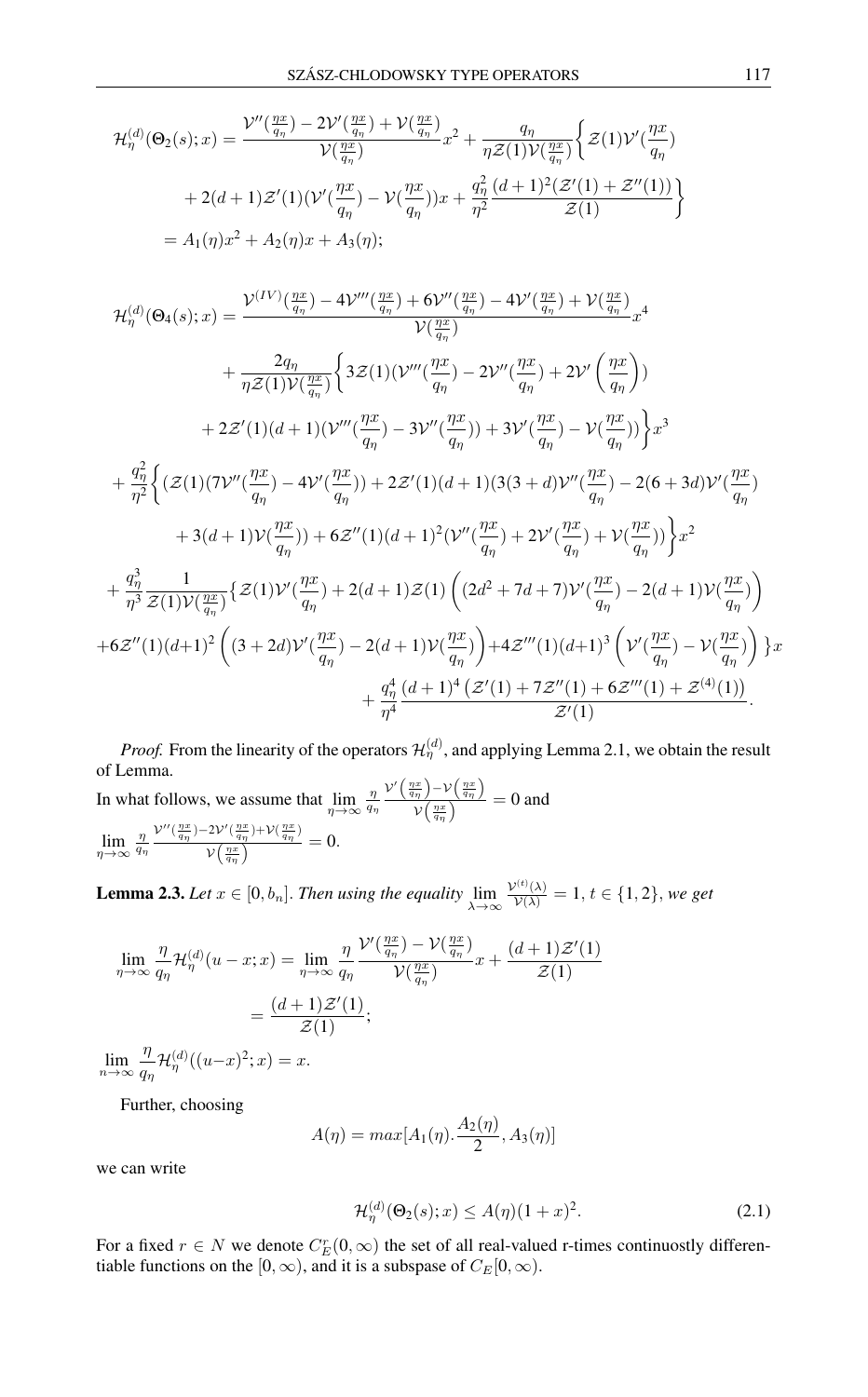$$
\mathcal{H}_{\eta}^{(d)}(\Theta_{2}(s);x) = \frac{\mathcal{V}''(\frac{\eta x}{q_{\eta}}) - 2\mathcal{V}'(\frac{\eta x}{q_{\eta}}) + \mathcal{V}(\frac{\eta x}{q_{\eta}})}{\mathcal{V}(\frac{\eta x}{q_{\eta}})}x^{2} + \frac{q_{\eta}}{\eta \mathcal{Z}(1)\mathcal{V}(\frac{\eta x}{q_{\eta}})}\Big\{\mathcal{Z}(1)\mathcal{V}'(\frac{\eta x}{q_{\eta}}) + 2(d+1)\mathcal{Z}'(1)(\mathcal{V}'(\frac{\eta x}{q_{\eta}}) - \mathcal{V}(\frac{\eta x}{q_{\eta}}))x + \frac{q_{\eta}^{2}}{\eta^{2}}\frac{(d+1)^{2}(\mathcal{Z}'(1) + \mathcal{Z}''(1))}{\mathcal{Z}(1)}\Big\}
$$
  
=  $A_{1}(\eta)x^{2} + A_{2}(\eta)x + A_{3}(\eta);$ 

$$
\mathcal{H}_{\eta}^{(d)}(\Theta_{4}(s);x) = \frac{\mathcal{V}^{(IV)}(\frac{\eta x}{q_{\eta}}) - 4\mathcal{V}''(\frac{\eta x}{q_{\eta}}) + 6\mathcal{V}''(\frac{\eta x}{q_{\eta}}) - 4\mathcal{V}'(\frac{\eta x}{q_{\eta}}) + \mathcal{V}(\frac{\eta x}{q_{\eta}})}{\mathcal{V}(\frac{\eta x}{q_{\eta}})}x^{4}
$$
\n
$$
+ \frac{2q_{\eta}}{\eta Z(1)\mathcal{V}(\frac{\eta x}{q_{\eta}})}\left\{3\mathcal{Z}(1)(\mathcal{V}'''(\frac{\eta x}{q_{\eta}}) - 2\mathcal{V}''(\frac{\eta x}{q_{\eta}}) + 2\mathcal{V}'(\frac{\eta x}{q_{\eta}})\right\}
$$
\n
$$
+ 2\mathcal{Z}'(1)(d+1)(\mathcal{V}'''(\frac{\eta x}{q_{\eta}}) - 3\mathcal{V}''(\frac{\eta x}{q_{\eta}})) + 3\mathcal{V}'(\frac{\eta x}{q_{\eta}}) - \mathcal{V}(\frac{\eta x}{q_{\eta}})\right\}x^{3}
$$
\n
$$
+ \frac{q_{\eta}^{2}}{\eta^{2}}\left\{(\mathcal{Z}(1)(7\mathcal{V}''(\frac{\eta x}{q_{\eta}}) - 4\mathcal{V}'(\frac{\eta x}{q_{\eta}})) + 2\mathcal{Z}'(1)(d+1)(3(3+d)\mathcal{V}''(\frac{\eta x}{q_{\eta}}) - 2(6+3d)\mathcal{V}'(\frac{\eta x}{q_{\eta}}) + 3(d+1)\mathcal{V}(\frac{\eta x}{q_{\eta}})\right\}x^{2}
$$
\n
$$
+ 3(d+1)\mathcal{V}(\frac{\eta x}{q_{\eta}})) + 6\mathcal{Z}''(1)(d+1)^{2}(\mathcal{V}''(\frac{\eta x}{q_{\eta}}) + 2\mathcal{V}'(\frac{\eta x}{q_{\eta}}) + \mathcal{V}(\frac{\eta x}{q_{\eta}}))\right\}x^{2}
$$
\n
$$
+ \frac{q_{\eta}^{3}}{\eta^{3}}\frac{1}{\mathcal{Z}(1)\mathcal{V}(\frac{\eta x}{q_{\eta}})}\left\{\mathcal{Z}(1)\mathcal{V}'(\frac{\eta x}{q
$$

*Proof.* From the linearity of the operators  $\mathcal{H}_{\eta}^{(d)}$ , and applying Lemma 2.1, we obtain the result of Lemma. In what follows, we assume that  $\lim_{\eta \to \infty}$  $\frac{\eta}{q_{\eta}}$  $\mathcal{V}'\left(\frac{\eta x}{q_{\eta}}\right) - \mathcal{V}\left(\frac{\eta x}{q_{\eta}}\right)$  $\frac{\sqrt{(\eta x)}\sqrt{(\eta y)}}{\sqrt{(\eta y)}} = 0$  and  $\lim_{\eta \to \infty}$  $\frac{\eta}{q_{\eta}}$  ${\cal V}^{\prime\prime}({\eta x\over q\eta})$ –2 ${\cal V}^\prime({\eta x\over q\eta})$ + ${\cal V}({\eta x\over q\eta})$  $\eta x$ )  $\eta y'$  ( $\eta x$ )  $\eta x$ )  $\eta x$  $\frac{\frac{2\mathcal{V}\left(\frac{q}{q}\right)^{j+1}\left(\frac{q}{q}\right)^{j}}{\mathcal{V}\left(\frac{qx}{q}\right)^{j}}=0.$ 

**Lemma 2.3.** *Let*  $x \in [0, b_n]$ *. Then using the equality*  $\lim_{\lambda \to \infty}$  $\frac{\mathcal{V}^{(t)}(\lambda)}{\mathcal{V}(\lambda)} = 1, t \in \{1, 2\}, we get$ 

$$
\lim_{\eta \to \infty} \frac{\eta}{q_{\eta}} \mathcal{H}_{\eta}^{(d)}(u-x;x) = \lim_{\eta \to \infty} \frac{\eta}{q_{\eta}} \frac{\mathcal{V}'(\frac{\eta x}{q_{\eta}}) - \mathcal{V}(\frac{\eta x}{q_{\eta}})}{\mathcal{V}(\frac{\eta x}{q_{\eta}})} x + \frac{(d+1)\mathcal{Z}'(1)}{\mathcal{Z}(1)}
$$

$$
= \frac{(d+1)\mathcal{Z}'(1)}{\mathcal{Z}(1)};
$$

$$
\lim_{n \to \infty} \frac{\eta}{q_{\eta}} \mathcal{H}_{\eta}^{(d)}((u-x)^2;x) = x.
$$

Further, choosing

$$
A(\eta) = max[A_1(\eta), \frac{A_2(\eta)}{2}, A_3(\eta)]
$$

we can write

$$
\mathcal{H}_{\eta}^{(d)}(\Theta_2(s);x) \le A(\eta)(1+x)^2. \tag{2.1}
$$

For a fixed  $r \in N$  we denote  $C_E^r(0, \infty)$  the set of all real-valued r-times continuostly differentiable functions on the [0,  $\infty$ ), and it is a subspase of  $C_E[0, \infty)$ .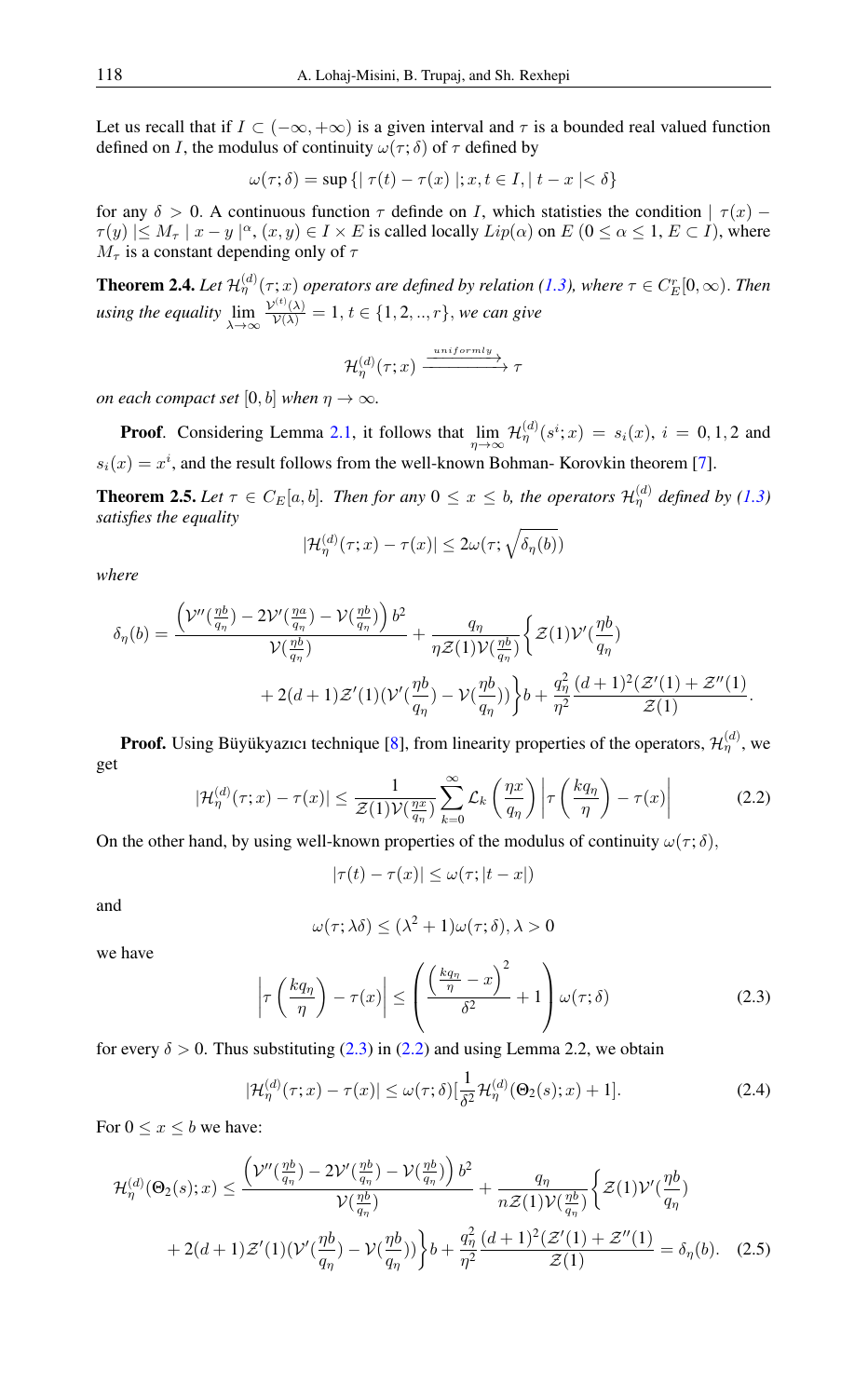Let us recall that if  $I \subset (-\infty, +\infty)$  is a given interval and  $\tau$  is a bounded real valued function defined on I, the modulus of continuity  $\omega(\tau; \delta)$  of  $\tau$  defined by

$$
\omega(\tau;\delta) = \sup\left\{ \left|\right. \tau(t) - \tau(x) \left.\right|; x, t \in I, \left| \right. t - x \left| < \delta \right.\right\}
$$

for any  $\delta > 0$ . A continuous function  $\tau$  definde on I, which statisties the condition  $|\tau(x) - \tau(x)|$  $\tau(y) \leq M_{\tau} \mid x - y \mid^{\alpha}, (x, y) \in I \times E$  is called locally  $Lip(\alpha)$  on  $E(0 \leq \alpha \leq 1, E \subset I)$ , where  $M_{\tau}$  is a constant depending only of  $\tau$ 

<span id="page-4-5"></span>**Theorem 2.4.** Let  $\mathcal{H}_{\eta}^{(d)}(\tau;x)$  operators are defined by relation [\(1.3\)](#page-0-1), where  $\tau \in C_{E}^{r}[0,\infty)$ . Then *using the equality* lim<br>
<sup>λ→∞</sup>  $\frac{\mathcal{V}^{(t)}(\lambda)}{\mathcal{V}(\lambda)} = 1, t \in \{1, 2, ..., r\},$  *we can give* 

$$
\mathcal{H}_{\eta}^{(d)}(\tau;x) \xrightarrow{uniformly} \tau
$$

*on each compact set* [0, *b*] *when*  $\eta \to \infty$ *.* 

**Proof.** Considering Lemma [2.1,](#page-1-0) it follows that  $\lim_{\eta \to \infty} \mathcal{H}_{\eta}^{(d)}(s^i; x) = s_i(x)$ ,  $i = 0, 1, 2$  and  $s_i(x) = x^i$ , and the result follows from the well-known Bohman-Korovkin theorem [\[7\]](#page-14-13).

<span id="page-4-4"></span>**Theorem 2.5.** Let  $\tau \in C_E[a, b]$ . Then for any  $0 \le x \le b$ , the operators  $\mathcal{H}_{\eta}^{(d)}$  defined by [\(1.3\)](#page-0-1) *satisfies the equality*

$$
|\mathcal{H}_{\eta}^{(d)}(\tau;x) - \tau(x)| \le 2\omega(\tau; \sqrt{\delta_{\eta}(b)})
$$

*where*

$$
\delta_{\eta}(b) = \frac{\left(\mathcal{V}''\left(\frac{\eta b}{q_{\eta}}\right) - 2\mathcal{V}'\left(\frac{\eta a}{q_{\eta}}\right) - \mathcal{V}\left(\frac{\eta b}{q_{\eta}}\right)\right)b^2}{\mathcal{V}\left(\frac{\eta b}{q_{\eta}}\right)} + \frac{q_{\eta}}{\eta \mathcal{Z}(1)\mathcal{V}\left(\frac{\eta b}{q_{\eta}}\right)} \Big\{ \mathcal{Z}(1)\mathcal{V}'\left(\frac{\eta b}{q_{\eta}}\right) + 2(d+1)\mathcal{Z}'(1)(\mathcal{V}'\left(\frac{\eta b}{q_{\eta}}\right) - \mathcal{V}\left(\frac{\eta b}{q_{\eta}}\right)) \Big\}b + \frac{q_{\eta}^2}{\eta^2} \frac{(d+1)^2(\mathcal{Z}'(1) + \mathcal{Z}''(1))}{\mathcal{Z}(1)}.
$$

<span id="page-4-1"></span>**Proof.** Using Büyükyazıcı technique [\[8\]](#page-14-10), from linearity properties of the operators,  $\mathcal{H}_{\eta}^{(d)}$ , we get

$$
|\mathcal{H}_{\eta}^{(d)}(\tau;x) - \tau(x)| \leq \frac{1}{\mathcal{Z}(1)\mathcal{V}(\frac{\eta x}{q_{\eta}})} \sum_{k=0}^{\infty} \mathcal{L}_{k}\left(\frac{\eta x}{q_{\eta}}\right) \left| \tau\left(\frac{kq_{\eta}}{\eta}\right) - \tau(x)\right| \tag{2.2}
$$

On the other hand, by using well-known properties of the modulus of continuity  $\omega(\tau; \delta)$ ,

$$
|\tau(t) - \tau(x)| \le \omega(\tau; |t - x|)
$$

and

<span id="page-4-3"></span>
$$
\omega(\tau; \lambda \delta) \le (\lambda^2 + 1)\omega(\tau; \delta), \lambda > 0
$$

<span id="page-4-0"></span>we have

$$
\left|\tau\left(\frac{kq_{\eta}}{\eta}\right)-\tau(x)\right| \leq \left(\frac{\left(\frac{kq_{\eta}}{\eta}-x\right)^2}{\delta^2}+1\right)\omega(\tau;\delta) \tag{2.3}
$$

for every  $\delta > 0$ . Thus substituting [\(2.3\)](#page-4-0) in [\(2.2\)](#page-4-1) and using Lemma 2.2, we obtain

<span id="page-4-2"></span>
$$
|\mathcal{H}_{\eta}^{(d)}(\tau;x) - \tau(x)| \le \omega(\tau;\delta)[\frac{1}{\delta^2} \mathcal{H}_{\eta}^{(d)}(\Theta_2(s);x) + 1]. \tag{2.4}
$$

For  $0 \leq x \leq b$  we have:

$$
\mathcal{H}_{\eta}^{(d)}(\Theta_{2}(s);x) \leq \frac{\left(\mathcal{V}''(\frac{\eta b}{q_{\eta}}) - 2\mathcal{V}'(\frac{\eta b}{q_{\eta}}) - \mathcal{V}(\frac{\eta b}{q_{\eta}})\right)b^{2}}{\mathcal{V}(\frac{\eta b}{q_{\eta}})} + \frac{q_{\eta}}{n\mathcal{Z}(1)\mathcal{V}(\frac{\eta b}{q_{\eta}})}\bigg\{\mathcal{Z}(1)\mathcal{V}'(\frac{\eta b}{q_{\eta}}) + 2(d+1)\mathcal{Z}'(1)(\mathcal{V}'(\frac{\eta b}{q_{\eta}}) - \mathcal{V}(\frac{\eta b}{q_{\eta}}))\bigg\}b + \frac{q_{\eta}^{2}}{\eta^{2}}\frac{(d+1)^{2}(\mathcal{Z}'(1) + \mathcal{Z}''(1))}{\mathcal{Z}(1)} = \delta_{\eta}(b). \quad (2.5)
$$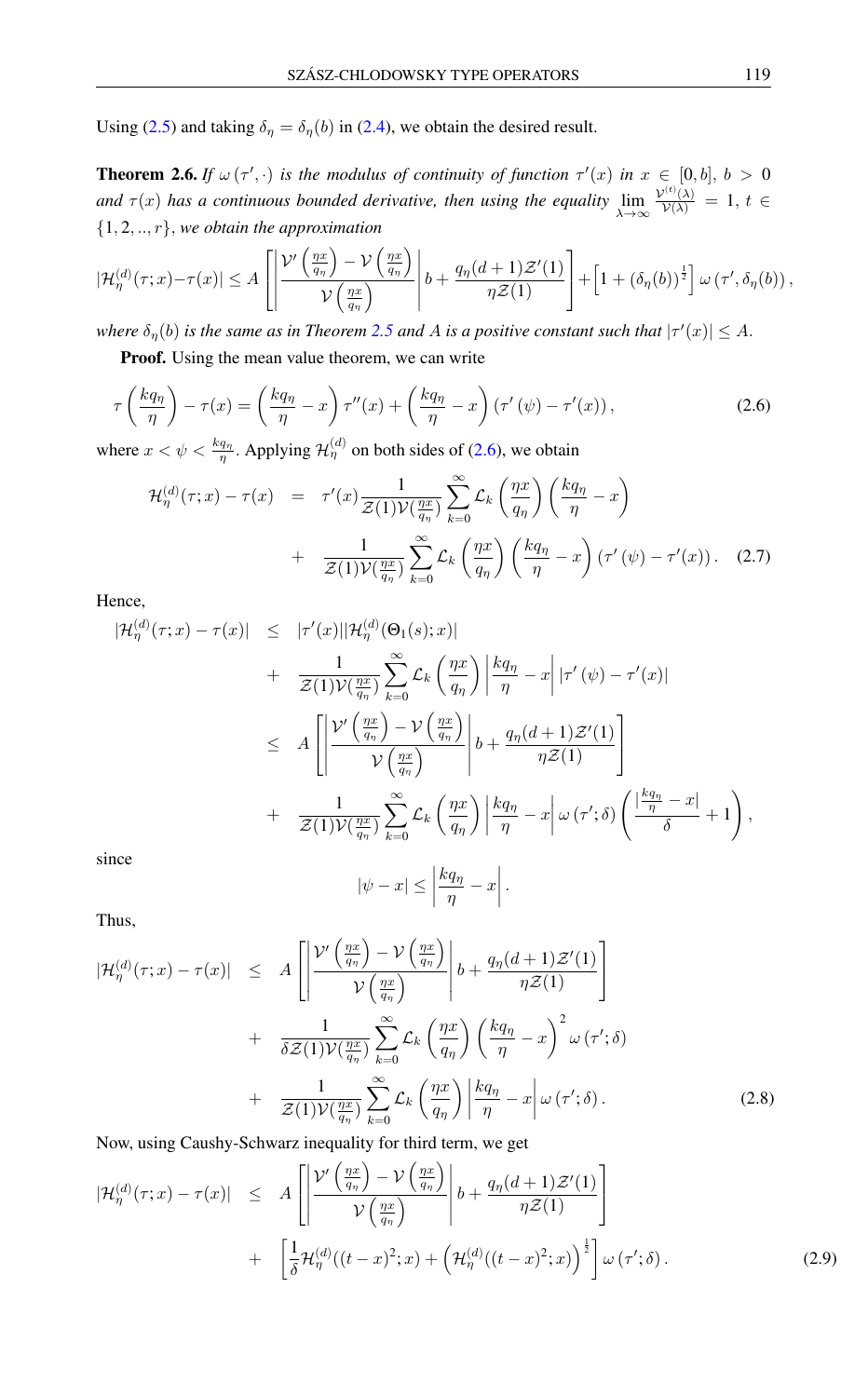Using [\(2.5\)](#page-4-2) and taking  $\delta_{\eta} = \delta_{\eta}(b)$  in [\(2.4\)](#page-4-3), we obtain the desired result.

**Theorem 2.6.** *If*  $\omega(\tau', \cdot)$  *is the modulus of continuity of function*  $\tau'(x)$  *in*  $x \in [0, b], b > 0$ and  $\tau(x)$  has a continuous bounded derivative, then using the equality  $\lim_{\lambda \to \infty}$  $\frac{\mathcal{V}^{(t)}(\lambda)}{\mathcal{V}(\lambda)} = 1, t \in$ {1, 2, .., r}, *we obtain the approximation*

$$
|\mathcal{H}_{\eta}^{(d)}(\tau;x)-\tau(x)| \leq A \left[ \left| \frac{\mathcal{V}'\left( \frac{\eta x}{q_{\eta}} \right) - \mathcal{V}\left( \frac{\eta x}{q_{\eta}} \right)}{\mathcal{V}\left( \frac{\eta x}{q_{\eta}} \right)} \right| b + \frac{q_{\eta}(d+1)\mathcal{Z}'(1)}{\eta \mathcal{Z}(1)} \right] + \left[ 1 + (\delta_{\eta}(b))^{\frac{1}{2}} \right] \omega(\tau',\delta_{\eta}(b)),
$$

where  $\delta_{\eta}(b)$  is the same as in Theorem [2.5](#page-4-4) and A is a positive constant such that  $|\tau'(x)| \leq A$ .

**Proof.** Using the mean value theorem, we can write

$$
\tau\left(\frac{kq_{\eta}}{\eta}\right) - \tau(x) = \left(\frac{kq_{\eta}}{\eta} - x\right)\tau''(x) + \left(\frac{kq_{\eta}}{\eta} - x\right)\left(\tau'(\psi) - \tau'(x)\right),\tag{2.6}
$$

where  $x < \psi < \frac{kq_n}{\eta}$ . Applying  $\mathcal{H}^{(d)}_{\eta}$  on both sides of [\(2.6\)](#page-5-0), we obtain

<span id="page-5-0"></span>
$$
\mathcal{H}_{\eta}^{(d)}(\tau;x) - \tau(x) = \tau'(x) \frac{1}{\mathcal{Z}(1)\mathcal{V}(\frac{\eta x}{q_{\eta}})} \sum_{k=0}^{\infty} \mathcal{L}_{k}\left(\frac{\eta x}{q_{\eta}}\right) \left(\frac{kq_{\eta}}{\eta} - x\right) + \frac{1}{\mathcal{Z}(1)\mathcal{V}(\frac{\eta x}{q_{\eta}})} \sum_{k=0}^{\infty} \mathcal{L}_{k}\left(\frac{\eta x}{q_{\eta}}\right) \left(\frac{kq_{\eta}}{\eta} - x\right) \left(\tau'(\psi) - \tau'(x)\right). \quad (2.7)
$$

Hence,

$$
|\mathcal{H}_{\eta}^{(d)}(\tau;x) - \tau(x)| \leq |\tau'(x)||\mathcal{H}_{\eta}^{(d)}(\Theta_{1}(s);x)|
$$
  
+ 
$$
\frac{1}{\mathcal{Z}(1)\mathcal{V}(\frac{\eta x}{q_{\eta}})} \sum_{k=0}^{\infty} \mathcal{L}_{k} \left(\frac{\eta x}{q_{\eta}}\right) \left|\frac{kq_{\eta}}{\eta} - x\right| |\tau'(\psi) - \tau'(x)|
$$
  

$$
\leq A \left[ \left| \frac{\mathcal{V}'\left(\frac{\eta x}{q_{\eta}}\right) - \mathcal{V}\left(\frac{\eta x}{q_{\eta}}\right)}{\mathcal{V}\left(\frac{\eta x}{q_{\eta}}\right)} \right| b + \frac{q_{\eta}(d+1)\mathcal{Z}'(1)}{\eta \mathcal{Z}(1)} \right]
$$
  
+ 
$$
\frac{1}{\mathcal{Z}(1)\mathcal{V}(\frac{\eta x}{q_{\eta}})} \sum_{k=0}^{\infty} \mathcal{L}_{k} \left(\frac{\eta x}{q_{\eta}}\right) \left|\frac{kq_{\eta}}{\eta} - x\right| \omega(\tau';\delta) \left(\frac{\left|\frac{kq_{\eta}}{\eta} - x\right|}{\delta} + 1\right),
$$
since  

$$
|\psi - x| \leq \left|\frac{kq_{\eta}}{\eta} - x\right|.
$$

Thus,

$$
|\mathcal{H}_{\eta}^{(d)}(\tau;x) - \tau(x)| \leq A \left[ \left| \frac{\mathcal{V}'\left(\frac{\eta x}{q_{\eta}}\right) - \mathcal{V}\left(\frac{\eta x}{q_{\eta}}\right)}{\mathcal{V}\left(\frac{\eta x}{q_{\eta}}\right)} \right| b + \frac{q_{\eta}(d+1)\mathcal{Z}'(1)}{\eta \mathcal{Z}(1)} \right] + \frac{1}{\delta \mathcal{Z}(1)\mathcal{V}(\frac{\eta x}{q_{\eta}})} \sum_{k=0}^{\infty} \mathcal{L}_k \left(\frac{\eta x}{q_{\eta}}\right) \left(\frac{kq_{\eta}}{\eta} - x\right)^2 \omega(\tau';\delta) + \frac{1}{\mathcal{Z}(1)\mathcal{V}(\frac{\eta x}{q_{\eta}})} \sum_{k=0}^{\infty} \mathcal{L}_k \left(\frac{\eta x}{q_{\eta}}\right) \left|\frac{kq_{\eta}}{\eta} - x\right| \omega(\tau';\delta). \tag{2.8}
$$

Now, using Caushy-Schwarz inequality for third term, we get

$$
|\mathcal{H}_{\eta}^{(d)}(\tau;x) - \tau(x)| \leq A \left[ \left| \frac{\mathcal{V}'\left(\frac{\eta x}{q_{\eta}}\right) - \mathcal{V}\left(\frac{\eta x}{q_{\eta}}\right)}{\mathcal{V}\left(\frac{\eta x}{q_{\eta}}\right)} \right| b + \frac{q_{\eta}(d+1)\mathcal{Z}'(1)}{\eta \mathcal{Z}(1)} \right] + \left[ \frac{1}{\delta} \mathcal{H}_{\eta}^{(d)}((t-x)^2;x) + \left( \mathcal{H}_{\eta}^{(d)}((t-x)^2;x) \right)^{\frac{1}{2}} \right] \omega(\tau';\delta).
$$
 (2.9)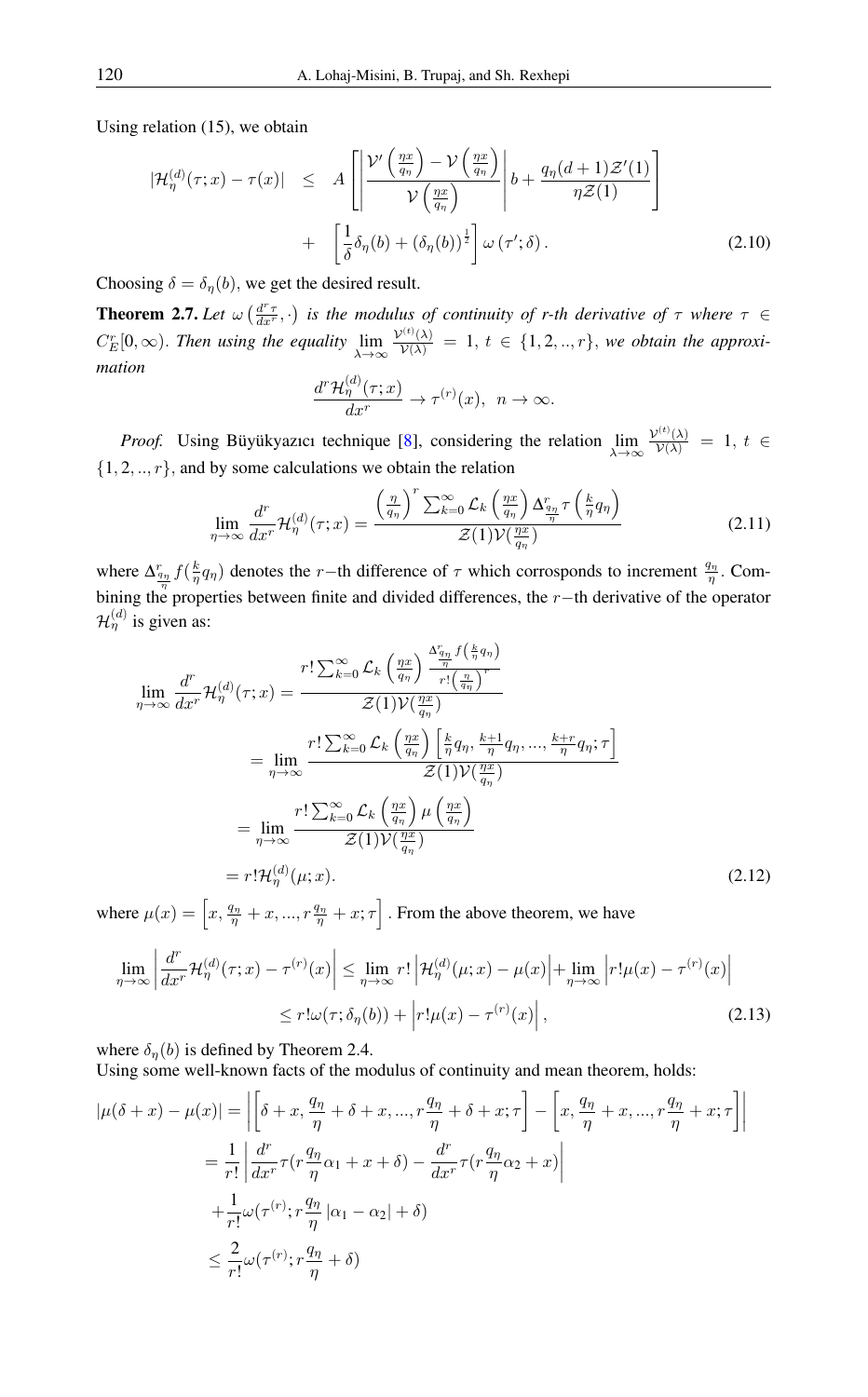Using relation (15), we obtain

$$
|\mathcal{H}_{\eta}^{(d)}(\tau;x) - \tau(x)| \leq A \left[ \left| \frac{\mathcal{V}'\left(\frac{\eta x}{q_{\eta}}\right) - \mathcal{V}\left(\frac{\eta x}{q_{\eta}}\right)}{\mathcal{V}\left(\frac{\eta x}{q_{\eta}}\right)} \right| b + \frac{q_{\eta}(d+1)\mathcal{Z}'(1)}{\eta \mathcal{Z}(1)} \right] + \left[ \frac{1}{\delta} \delta_{\eta}(b) + (\delta_{\eta}(b))^{\frac{1}{2}} \right] \omega(\tau';\delta).
$$
 (2.10)

Choosing  $\delta = \delta_{\eta}(b)$ , we get the desired result.

**Theorem 2.7.** Let  $\omega\left(\frac{d^r\tau}{dx^r},\cdot\right)$  is the modulus of continuity of r-th derivative of  $\tau$  where  $\tau \in$  $C_{E}^{r}[0,\infty)$ . Then using the equality  $\lim_{\lambda\to\infty}$  $\frac{\mathcal{V}^{(t)}(\lambda)}{\mathcal{V}(\lambda)} = 1, t \in \{1, 2, ..., r\},$  we obtain the approxi*mation*  $\langle \rangle$ 

$$
\frac{d^r\mathcal{H}^{(a)}_{\eta}(\tau;x)}{dx^r}\to\tau^{(r)}(x),\ \ n\to\infty.
$$

*Proof.* Using Büyükyazıcı technique [\[8\]](#page-14-10), considering the relation  $\lim_{\lambda \to \infty}$  $\frac{\mathcal{V}^{(t)}(\lambda)}{\mathcal{V}(\lambda)} = 1, t \in$  $\{1, 2, ..., r\}$ , and by some calculations we obtain the relation

$$
\lim_{\eta \to \infty} \frac{d^r}{dx^r} \mathcal{H}_{\eta}^{(d)}(\tau; x) = \frac{\left(\frac{\eta}{q_{\eta}}\right)^r \sum_{k=0}^{\infty} \mathcal{L}_k \left(\frac{\eta x}{q_{\eta}}\right) \Delta_{\frac{q_{\eta}}{\eta}}^r \tau \left(\frac{k}{\eta} q_{\eta}\right)}{\mathcal{Z}(1) \mathcal{V}(\frac{\eta x}{q_{\eta}})}\tag{2.11}
$$

where  $\Delta_{\frac{q_n}{2}} f(\frac{k}{\eta}q_n)$  denotes the r−th difference of  $\tau$  which corrosponds to increment  $\frac{q_n}{\eta}$ . Combining the properties between finite and divided differences, the r−th derivative of the operator  $\mathcal{H}_{\eta}^{(d)}$  is given as:

$$
\lim_{\eta \to \infty} \frac{d^r}{dx^r} \mathcal{H}_{\eta}^{(d)}(\tau; x) = \frac{r! \sum_{k=0}^{\infty} \mathcal{L}_k \left(\frac{\eta x}{q_{\eta}}\right) \frac{\Delta_{\eta_1}^r f\left(\frac{k}{\eta} q_{\eta}\right)}{r! \left(\frac{\eta x}{q_{\eta}}\right)^r}}{\mathcal{Z}(1) \mathcal{V}(\frac{\eta x}{q_{\eta}})}
$$
\n
$$
= \lim_{\eta \to \infty} \frac{r! \sum_{k=0}^{\infty} \mathcal{L}_k \left(\frac{\eta x}{q_{\eta}}\right) \left[\frac{k}{\eta} q_{\eta}, \frac{k+1}{\eta} q_{\eta}, \dots, \frac{k+r}{\eta} q_{\eta}; \tau\right]}{\mathcal{Z}(1) \mathcal{V}(\frac{\eta x}{q_{\eta}})}
$$
\n
$$
= \lim_{\eta \to \infty} \frac{r! \sum_{k=0}^{\infty} \mathcal{L}_k \left(\frac{\eta x}{q_{\eta}}\right) \mu \left(\frac{\eta x}{q_{\eta}}\right)}{\mathcal{Z}(1) \mathcal{V}(\frac{\eta x}{q_{\eta}})}
$$
\n
$$
= r! \mathcal{H}_{\eta}^{(d)}(\mu; x).
$$
\n(2.12)

where  $\mu(x) = \left[ x, \frac{q_{\eta}}{\eta} + x, ..., r \frac{q_{\eta}}{\eta} + x; \tau \right]$ . From the above theorem, we have

$$
\lim_{\eta \to \infty} \left| \frac{d^r}{dx^r} \mathcal{H}_{\eta}^{(d)}(\tau; x) - \tau^{(r)}(x) \right| \leq \lim_{\eta \to \infty} r! \left| \mathcal{H}_{\eta}^{(d)}(\mu; x) - \mu(x) \right| + \lim_{\eta \to \infty} \left| r! \mu(x) - \tau^{(r)}(x) \right|
$$
\n
$$
\leq r! \omega(\tau; \delta_{\eta}(b)) + \left| r! \mu(x) - \tau^{(r)}(x) \right|, \tag{2.13}
$$

where  $\delta_n(b)$  is defined by Theorem 2.4.

Using some well-known facts of the modulus of continuity and mean theorem, holds:

$$
|\mu(\delta + x) - \mu(x)| = \left| \left[ \delta + x, \frac{q_{\eta}}{\eta} + \delta + x, ..., r\frac{q_{\eta}}{\eta} + \delta + x; \tau \right] - \left[ x, \frac{q_{\eta}}{\eta} + x, ..., r\frac{q_{\eta}}{\eta} + x; \tau \right] \right|
$$
  

$$
= \frac{1}{r!} \left| \frac{d^r}{dx^r} \tau (r\frac{q_{\eta}}{\eta} \alpha_1 + x + \delta) - \frac{d^r}{dx^r} \tau (r\frac{q_{\eta}}{\eta} \alpha_2 + x) \right|
$$
  

$$
+ \frac{1}{r!} \omega(\tau^{(r)}; r\frac{q_{\eta}}{\eta} |\alpha_1 - \alpha_2| + \delta)
$$
  

$$
\leq \frac{2}{r!} \omega(\tau^{(r)}; r\frac{q_{\eta}}{\eta} + \delta)
$$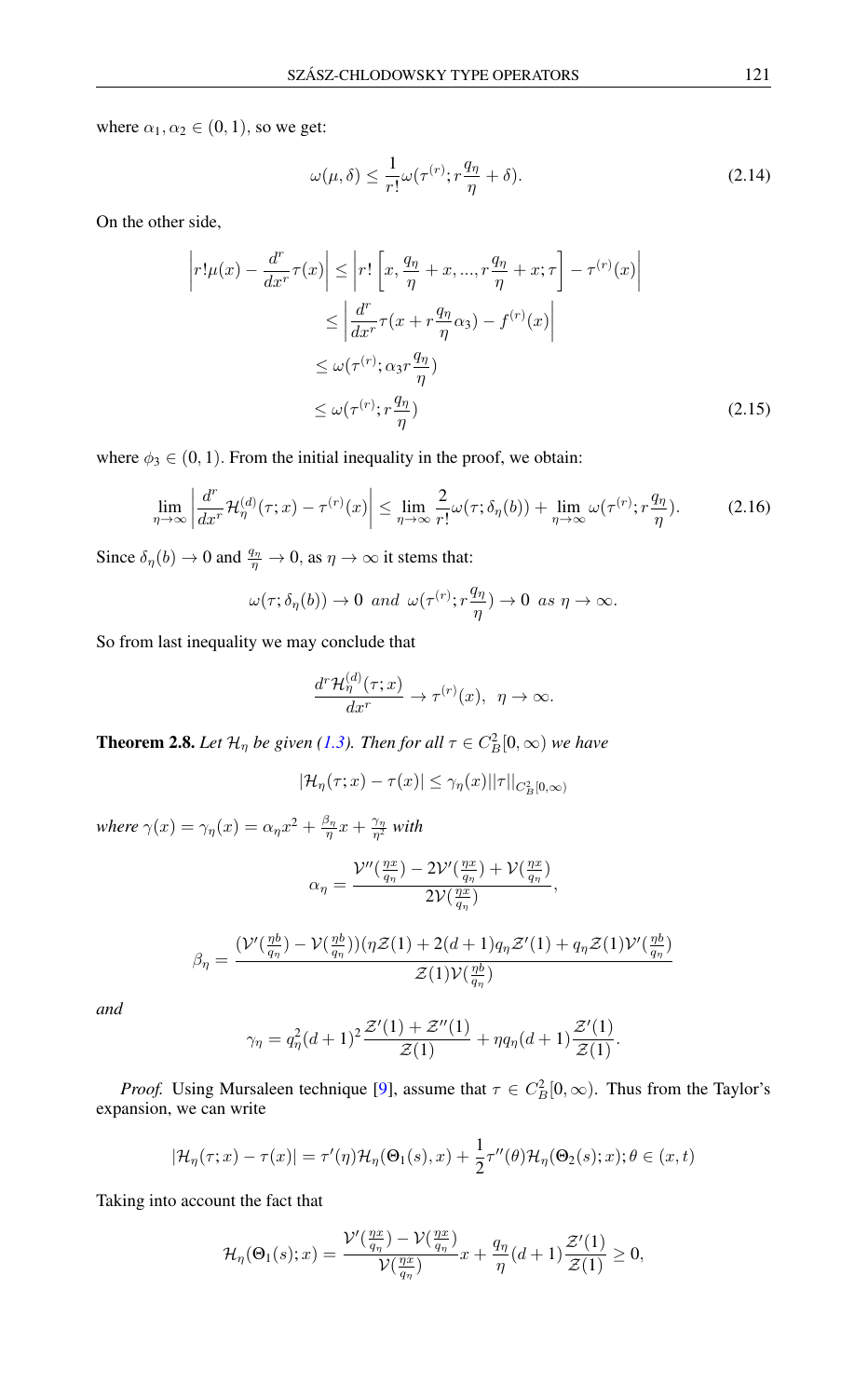where  $\alpha_1, \alpha_2 \in (0, 1)$ , so we get:

$$
\omega(\mu,\delta) \le \frac{1}{r!} \omega(\tau^{(r)}; r\frac{q_\eta}{\eta} + \delta). \tag{2.14}
$$

On the other side,

$$
\left| r!\mu(x) - \frac{d^r}{dx^r} \tau(x) \right| \le \left| r! \left[ x, \frac{q_\eta}{\eta} + x, ..., r \frac{q_\eta}{\eta} + x; \tau \right] - \tau^{(r)}(x) \right|
$$
  

$$
\le \left| \frac{d^r}{dx^r} \tau(x + r \frac{q_\eta}{\eta} \alpha_3) - f^{(r)}(x) \right|
$$
  

$$
\le \omega(\tau^{(r)}; \alpha_3 r \frac{q_\eta}{\eta})
$$
  

$$
\le \omega(\tau^{(r)}; r \frac{q_\eta}{\eta})
$$
 (2.15)

where  $\phi_3 \in (0, 1)$ . From the initial inequality in the proof, we obtain:

$$
\lim_{\eta \to \infty} \left| \frac{d^r}{dx^r} \mathcal{H}_{\eta}^{(d)}(\tau; x) - \tau^{(r)}(x) \right| \le \lim_{\eta \to \infty} \frac{2}{r!} \omega(\tau; \delta_{\eta}(b)) + \lim_{\eta \to \infty} \omega(\tau^{(r)}; r\frac{q_{\eta}}{\eta}). \tag{2.16}
$$

Since  $\delta_{\eta}(b) \to 0$  and  $\frac{q_{\eta}}{\eta} \to 0$ , as  $\eta \to \infty$  it stems that:

$$
\omega(\tau;\delta_{\eta}(b)) \to 0 \text{ and } \omega(\tau^{(r)};r\frac{q_{\eta}}{\eta}) \to 0 \text{ as } \eta \to \infty.
$$

So from last inequality we may conclude that

$$
\frac{d^r\mathcal{H}^{(d)}_{\eta}(\tau;x)}{dx^r}\to\tau^{(r)}(x),\ \ \eta\to\infty.
$$

<span id="page-7-0"></span>**Theorem 2.8.** Let  $\mathcal{H}_{\eta}$  be given [\(1.3\)](#page-0-1). Then for all  $\tau \in C_B^2[0,\infty)$  we have

$$
|\mathcal{H}_{\eta}(\tau; x) - \tau(x)| \leq \gamma_{\eta}(x) ||\tau||_{C_B^2[0,\infty)}
$$

where  $\gamma(x) = \gamma_{\eta}(x) = \alpha_{\eta}x^2 + \frac{\beta_{\eta}}{\eta}x + \frac{\gamma_{\eta}}{\eta^2}$  with

$$
\alpha_{\eta} = \frac{\mathcal{V}''(\frac{\eta x}{q_{\eta}}) - 2\mathcal{V}'(\frac{\eta x}{q_{\eta}}) + \mathcal{V}(\frac{\eta x}{q_{\eta}})}{2\mathcal{V}(\frac{\eta x}{q_{\eta}})},
$$

$$
\beta_{\eta} = \frac{(\mathcal{V}'(\frac{\eta b}{q_{\eta}}) - \mathcal{V}(\frac{\eta b}{q_{\eta}})) (\eta \mathcal{Z}(1) + 2(d+1)q_{\eta} \mathcal{Z}'(1) + q_{\eta} \mathcal{Z}(1) \mathcal{V}'(\frac{\eta b}{q_{\eta}}))}{\mathcal{Z}(1) \mathcal{V}(\frac{\eta b}{q_{\eta}})}
$$

*and*

$$
\gamma_{\eta} = q_{\eta}^{2}(d+1)^{2} \frac{\mathcal{Z}'(1) + \mathcal{Z}''(1)}{\mathcal{Z}(1)} + \eta q_{\eta}(d+1) \frac{\mathcal{Z}'(1)}{\mathcal{Z}(1)}.
$$

*Proof.* Using Mursaleen technique [\[9\]](#page-14-2), assume that  $\tau \in C_B^2[0,\infty)$ . Thus from the Taylor's expansion, we can write

$$
|\mathcal{H}_{\eta}(\tau; x) - \tau(x)| = \tau'(\eta)\mathcal{H}_{\eta}(\Theta_1(s), x) + \frac{1}{2}\tau''(\theta)\mathcal{H}_{\eta}(\Theta_2(s); x); \theta \in (x, t)
$$

Taking into account the fact that

$$
\mathcal{H}_{\eta}(\Theta_1(s);x) = \frac{\mathcal{V}'(\frac{\eta x}{q_{\eta}}) - \mathcal{V}(\frac{\eta x}{q_{\eta}})}{\mathcal{V}(\frac{\eta x}{q_{\eta}})}x + \frac{q_{\eta}}{\eta}(d+1)\frac{\mathcal{Z}'(1)}{\mathcal{Z}(1)} \ge 0,
$$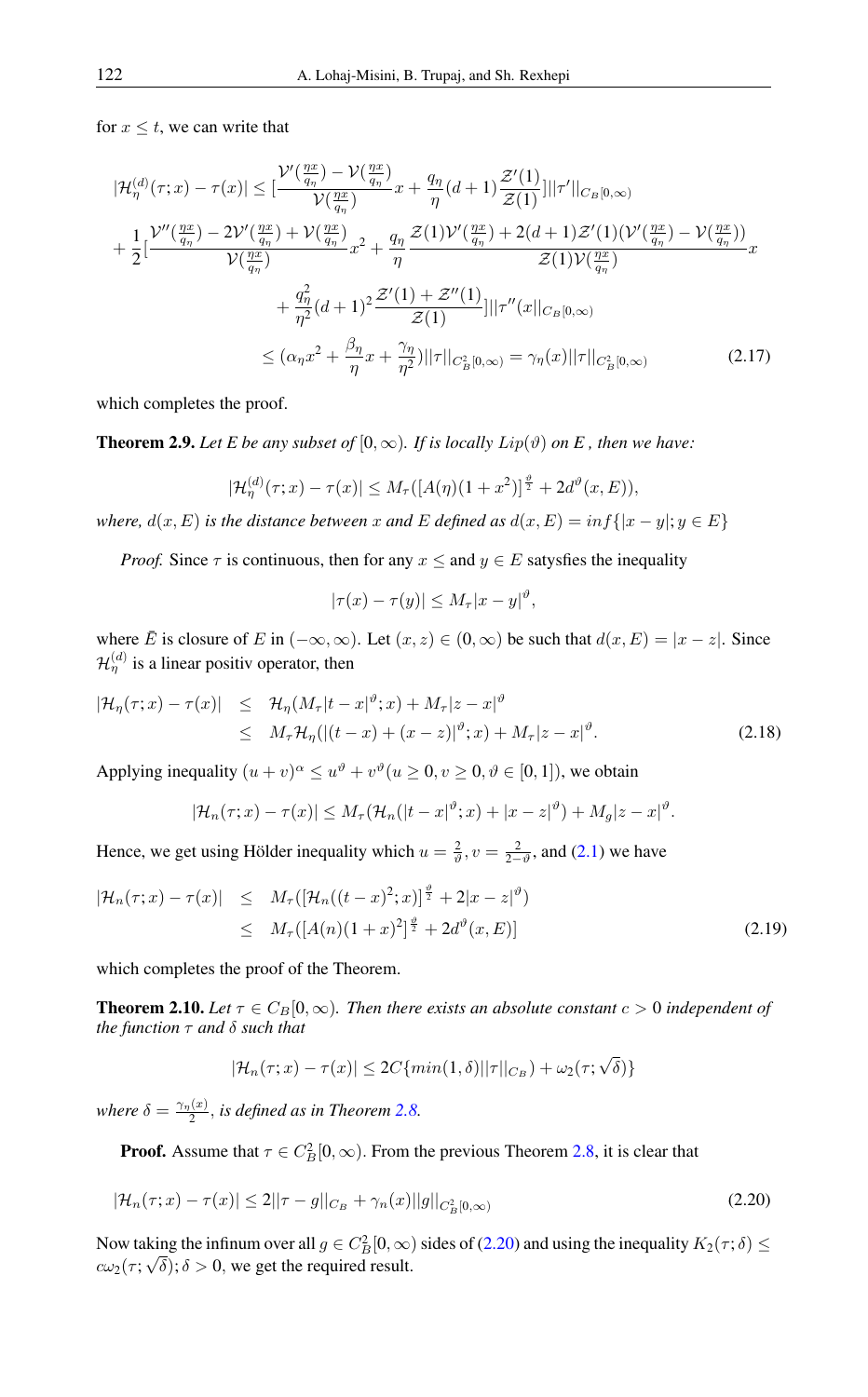for  $x \leq t$ , we can write that

$$
|\mathcal{H}_{\eta}^{(d)}(\tau; x) - \tau(x)| \leq \left[\frac{\mathcal{V}'(\frac{\eta x}{q_{\eta}}) - \mathcal{V}(\frac{\eta x}{q_{\eta}})}{\mathcal{V}(\frac{\eta x}{q_{\eta}})} x + \frac{q_{\eta}}{\eta} (d+1) \frac{\mathcal{Z}'(1)}{\mathcal{Z}(1)}\right] ||\tau'||_{C_{B}[0,\infty)}
$$
  
+ 
$$
\frac{1}{2} \left[\frac{\mathcal{V}''(\frac{\eta x}{q_{\eta}}) - 2\mathcal{V}'(\frac{\eta x}{q_{\eta}}) + \mathcal{V}(\frac{\eta x}{q_{\eta}})}{\mathcal{V}(\frac{\eta x}{q_{\eta}})} x^{2} + \frac{q_{\eta}}{\eta} \frac{\mathcal{Z}(1)\mathcal{V}'(\frac{\eta x}{q_{\eta}}) + 2(d+1)\mathcal{Z}'(1)(\mathcal{V}'(\frac{\eta x}{q_{\eta}}) - \mathcal{V}(\frac{\eta x}{q_{\eta}}))}{\mathcal{Z}(1)\mathcal{V}(\frac{\eta x}{q_{\eta}})} x + \frac{q_{\eta}^{2}}{\eta^{2}} (d+1)^{2} \frac{\mathcal{Z}'(1) + \mathcal{Z}''(1)}{\mathcal{Z}(1)} |||\tau''(x||_{C_{B}[0,\infty)}
$$
  

$$
\leq (\alpha_{\eta} x^{2} + \frac{\beta_{\eta}}{\eta} x + \frac{\gamma_{\eta}}{\eta^{2}})||\tau||_{C_{B}^{2}[0,\infty)} = \gamma_{\eta}(x)||\tau||_{C_{B}^{2}[0,\infty)}
$$
(2.17)

which completes the proof.

**Theorem 2.9.** Let E be any subset of  $[0, \infty)$ . If is locally  $Lip(\vartheta)$  on E, then we have:

$$
|\mathcal{H}_{\eta}^{(d)}(\tau; x) - \tau(x)| \leq M_{\tau}([A(\eta)(1+x^2)]^{\frac{\vartheta}{2}} + 2d^{\vartheta}(x, E)),
$$

*where,*  $d(x, E)$  *is the distance between* x *and* E *defined* as  $d(x, E) = inf\{|x - y|; y \in E\}$ 

*Proof.* Since  $\tau$  is continuous, then for any  $x \le$  and  $y \in E$  satysfies the inequality

$$
|\tau(x) - \tau(y)| \le M_{\tau} |x - y|^{\vartheta},
$$

where  $\overline{E}$  is closure of E in  $(-\infty, \infty)$ . Let  $(x, z) \in (0, \infty)$  be such that  $d(x, E) = |x - z|$ . Since  $\mathcal{H}_{\eta}^{(d)}$  is a linear positiv operator, then

$$
|\mathcal{H}_{\eta}(\tau;x) - \tau(x)| \leq \mathcal{H}_{\eta}(M_{\tau}|t-x|^{\vartheta};x) + M_{\tau}|z-x|^{\vartheta}
$$
  
\n
$$
\leq M_{\tau}\mathcal{H}_{\eta}(|(t-x) + (x-z)|^{\vartheta};x) + M_{\tau}|z-x|^{\vartheta}.
$$
\n(2.18)

Applying inequality  $(u + v)^{\alpha} \leq u^{\vartheta} + v^{\vartheta} (u \geq 0, v \geq 0, \vartheta \in [0, 1])$ , we obtain

$$
|\mathcal{H}_n(\tau;x)-\tau(x)| \leq M_\tau(\mathcal{H}_n(|t-x|^\vartheta;x)+|x-z|^\vartheta)+M_g|z-x|^\vartheta.
$$

Hence, we get using Hölder inequality which  $u = \frac{2}{v}$ ,  $v = \frac{2}{2-v}$ , and [\(2.1\)](#page-2-0) we have

$$
|\mathcal{H}_n(\tau; x) - \tau(x)| \leq M_{\tau}([\mathcal{H}_n((t - x)^2; x)]^{\frac{\vartheta}{2}} + 2|x - z|^{\vartheta})
$$
  
\n
$$
\leq M_{\tau}([A(n)(1 + x)^2]^{\frac{\vartheta}{2}} + 2d^{\vartheta}(x, E)] \tag{2.19}
$$

which completes the proof of the Theorem.

**Theorem 2.10.** Let  $\tau \in C_B[0,\infty)$ . Then there exists an absolute constant  $c > 0$  independent of *the function* τ *and* δ *such that*

<span id="page-8-0"></span>
$$
|\mathcal{H}_n(\tau; x) - \tau(x)| \le 2C \{ \min(1, \delta) ||\tau||_{C_B}) + \omega_2(\tau; \sqrt{\delta}) \}
$$

*where*  $\delta = \frac{\gamma_{\eta}(x)}{2}$  $\frac{d^{(x)}}{2}$ , *is defined as in Theorem* [2.8.](#page-7-0)

**Proof.** Assume that  $\tau \in C_B^2[0, \infty)$ . From the previous Theorem [2.8,](#page-7-0) it is clear that

$$
|\mathcal{H}_n(\tau; x) - \tau(x)| \le 2||\tau - g||_{C_B} + \gamma_n(x)||g||_{C_B^2[0, \infty)}
$$
\n(2.20)

Now taking the infinum over all  $g \in C_B^2[0,\infty)$  sides of [\(2.20\)](#page-8-0) and using the inequality  $K_2(\tau;\delta) \leq$  $c\omega_2(\tau; \sqrt{\delta}); \delta > 0$ , we get the required result.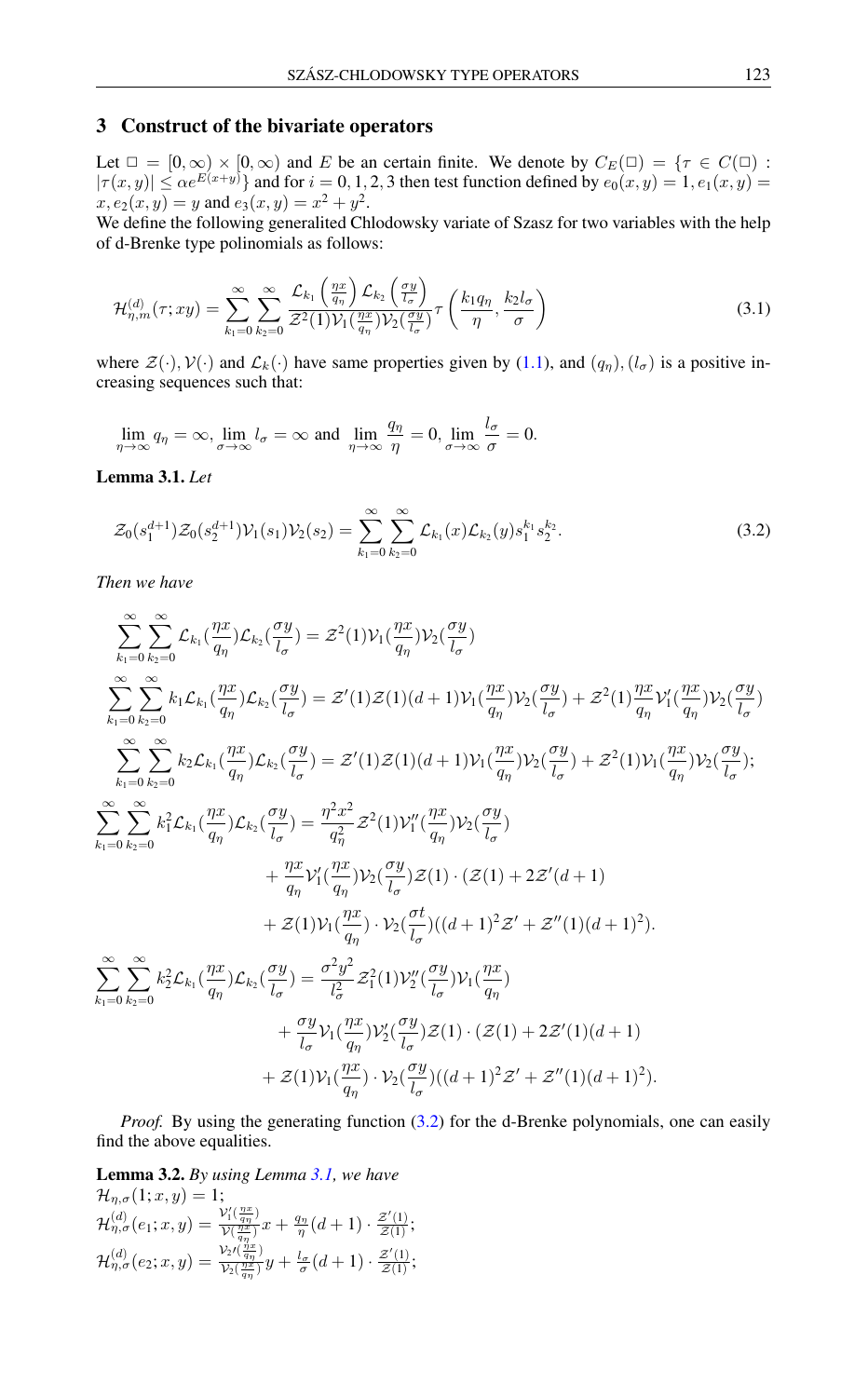## 3 Construct of the bivariate operators

Let  $\square = [0, \infty) \times [0, \infty)$  and E be an certain finite. We denote by  $C_E(\square) = \{ \tau \in C(\square) \}$  $|\tau(x,y)| \leq \alpha e^{E(x+y)}\}$  and for  $i = 0, 1, 2, 3$  then test function defined by  $e_0(x, y) = 1, e_1(x, y) = 1$  $x, e_2(x, y) = y$  and  $e_3(x, y) = x^2 + y^2$ .

We define the following generalited Chlodowsky variate of Szasz for two variables with the help of d-Brenke type polinomials as follows:

$$
\mathcal{H}_{\eta,m}^{(d)}(\tau;xy) = \sum_{k_1=0}^{\infty} \sum_{k_2=0}^{\infty} \frac{\mathcal{L}_{k_1}\left(\frac{\eta x}{q_{\eta}}\right)\mathcal{L}_{k_2}\left(\frac{\sigma y}{l_{\sigma}}\right)}{\mathcal{Z}^2(1)\mathcal{V}_1(\frac{\eta x}{q_{\eta}})\mathcal{V}_2(\frac{\sigma y}{l_{\sigma}})}\tau\left(\frac{k_1q_{\eta}}{\eta},\frac{k_2l_{\sigma}}{\sigma}\right)
$$
(3.1)

where  $\mathcal{Z}(\cdot)$ ,  $\mathcal{V}(\cdot)$  and  $\mathcal{L}_k(\cdot)$  have same properties given by [\(1.1\)](#page-0-0), and  $(q_n)$ ,  $(l_\sigma)$  is a positive increasing sequences such that:

$$
\lim_{\eta \to \infty} q_{\eta} = \infty, \lim_{\sigma \to \infty} l_{\sigma} = \infty \text{ and } \lim_{\eta \to \infty} \frac{q_{\eta}}{\eta} = 0, \lim_{\sigma \to \infty} \frac{l_{\sigma}}{\sigma} = 0.
$$

<span id="page-9-1"></span>Lemma 3.1. *Let*

<span id="page-9-0"></span>
$$
\mathcal{Z}_0(s_1^{d+1})\mathcal{Z}_0(s_2^{d+1})\mathcal{V}_1(s_1)\mathcal{V}_2(s_2) = \sum_{k_1=0}^{\infty} \sum_{k_2=0}^{\infty} \mathcal{L}_{k_1}(x)\mathcal{L}_{k_2}(y)s_1^{k_1}s_2^{k_2}.
$$
\n(3.2)

*Then we have*

$$
\sum_{k_1=0}^{\infty} \sum_{k_2=0}^{\infty} \mathcal{L}_{k_1} \left( \frac{\eta x}{q_{\eta}} \right) \mathcal{L}_{k_2} \left( \frac{\sigma y}{l_{\sigma}} \right) = \mathcal{Z}^2 (1) \mathcal{V}_1 \left( \frac{\eta x}{q_{\eta}} \right) \mathcal{V}_2 \left( \frac{\sigma y}{l_{\sigma}} \right)
$$
\n
$$
\sum_{k_1=0}^{\infty} \sum_{k_2=0}^{\infty} k_1 \mathcal{L}_{k_1} \left( \frac{\eta x}{q_{\eta}} \right) \mathcal{L}_{k_2} \left( \frac{\sigma y}{l_{\sigma}} \right) = \mathcal{Z}^2 (1) \mathcal{Z} (1) (d+1) \mathcal{V}_1 \left( \frac{\eta x}{q_{\eta}} \right) \mathcal{V}_2 \left( \frac{\sigma y}{l_{\sigma}} \right) + \mathcal{Z}^2 (1) \frac{\eta x}{q_{\eta}} \mathcal{V}_1^2 \left( \frac{\eta x}{l_{\sigma}} \right) \mathcal{V}_2 \left( \frac{\sigma y}{l_{\sigma}} \right)
$$
\n
$$
\sum_{k_1=0}^{\infty} \sum_{k_2=0}^{\infty} k_2 \mathcal{L}_{k_1} \left( \frac{\eta x}{q_{\eta}} \right) \mathcal{L}_{k_2} \left( \frac{\sigma y}{l_{\sigma}} \right) = \mathcal{Z}^2 (1) \mathcal{Z} (1) (d+1) \mathcal{V}_1 \left( \frac{\eta x}{q_{\eta}} \right) \mathcal{V}_2 \left( \frac{\sigma y}{l_{\sigma}} \right) + \mathcal{Z}^2 (1) \mathcal{V}_1 \left( \frac{\eta x}{q_{\eta}} \right) \mathcal{V}_2 \left( \frac{\sigma y}{l_{\sigma}} \right);
$$
\n
$$
\sum_{k_1=0}^{\infty} \sum_{k_2=0}^{\infty} k_1^2 \mathcal{L}_{k_1} \left( \frac{\eta x}{q_{\eta}} \right) \mathcal{L}_{k_2} \left( \frac{\sigma y}{l_{\sigma}} \right) = \frac{\eta^2 x^2}{q_{\eta}^2} \mathcal{Z}^2 (1) \mathcal{V}_1^{\prime \prime} \left( \frac{\eta x}{q_{\
$$

*Proof.* By using the generating function [\(3.2\)](#page-9-0) for the d-Brenke polynomials, one can easily find the above equalities.

<span id="page-9-2"></span>**Lemma 3.2.** *By using Lemma [3.1,](#page-9-1) we have*  $\frac{1}{2}$   $(1, \infty)$   $-1$ **:** 

$$
\mathcal{H}_{\eta,\sigma}(1;x,y) = 1;
$$
\n
$$
\mathcal{H}_{\eta,\sigma}^{(d)}(e_1;x,y) = \frac{\mathcal{V}'_1(\frac{\eta x}{q\eta})}{\mathcal{V}(\frac{\eta x}{q\eta})}x + \frac{q_\eta}{\eta}(d+1) \cdot \frac{\mathcal{Z}'(1)}{\mathcal{Z}(1)};
$$
\n
$$
\mathcal{H}_{\eta,\sigma}^{(d)}(e_2;x,y) = \frac{\mathcal{V}_2(\frac{\eta x}{q\eta})}{\mathcal{V}_2(\frac{\eta x}{q\eta})}y + \frac{l_\sigma}{\sigma}(d+1) \cdot \frac{\mathcal{Z}'(1)}{\mathcal{Z}(1)};
$$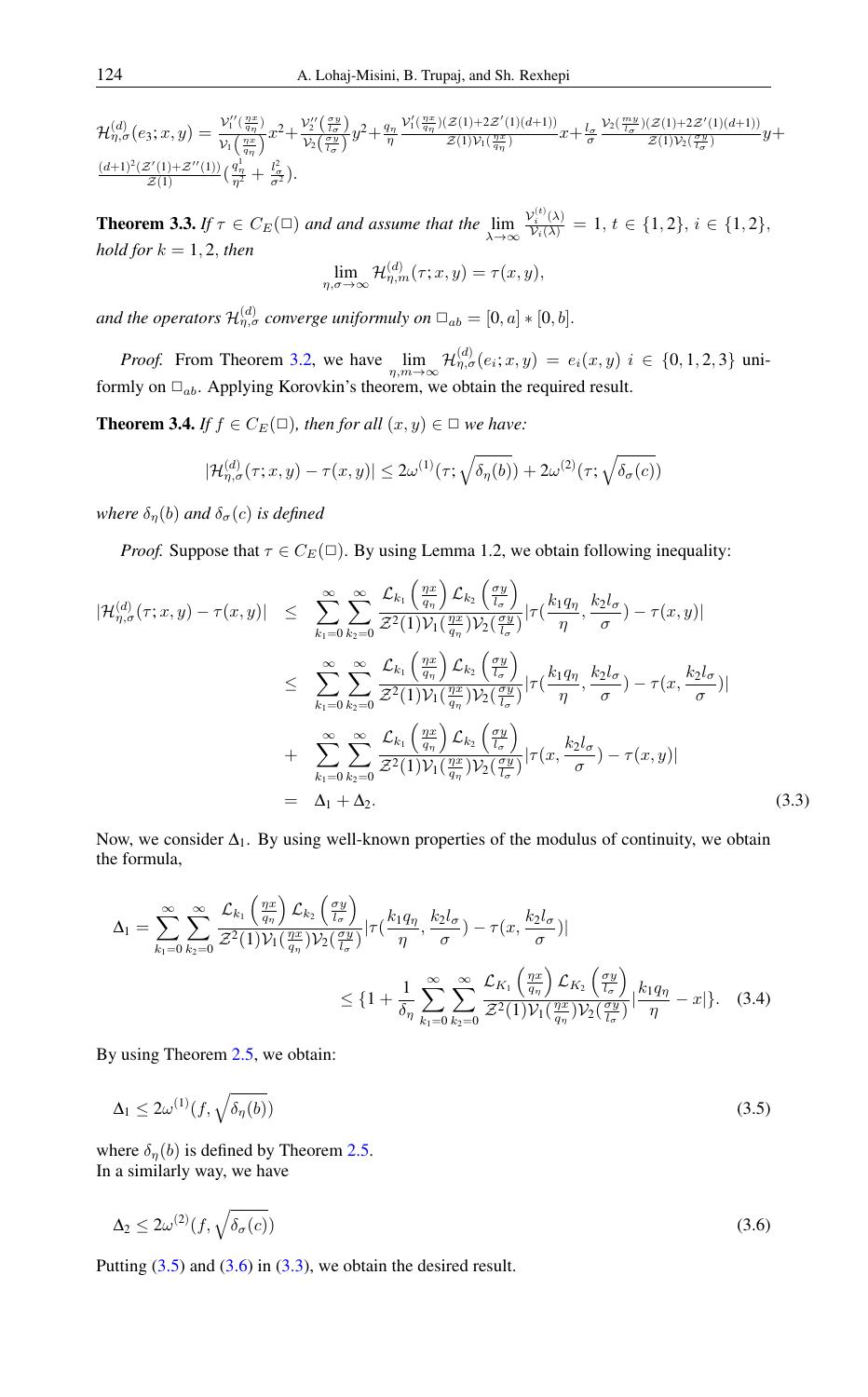$\mathcal{H}_{\eta,\sigma}^{(d)}(e_3;x,y)=\frac{\mathcal{V}_1''(\frac{\eta x}{q_\eta})}{\mathcal{V}_1(\frac{\eta x}{q_\eta})}$  $\frac{\mathcal{V}_1''(\frac{qx}{q_n})}{\mathcal{V}_1(\frac{qx}{q_n})}x^2+\frac{\mathcal{V}_2''(\frac{\sigma y}{l_{\sigma}})}{\mathcal{V}_2(\frac{\sigma y}{l_{\sigma}})}$  $\frac{V_2(\frac{\tau}{l_{\sigma}})}{V_2(\frac{\sigma y}{l_{\sigma}})}y^2 + \frac{q_{\eta}}{\eta}$  $V'_1(\frac{\eta x}{q\eta})(\mathcal{Z}(1)+2\mathcal{Z}'(1)(d+1))$  $\frac{z(1)\sqrt{2z}}{(1)\gamma_1(\frac{\eta x}{q\eta})}x+\frac{l_\sigma}{\sigma}$  $\frac{\mathcal{V}_2(\frac{my}{l_{\sigma}})(\mathcal{Z}(1)+2\mathcal{Z}'(1)(d+1))}{\mathcal{V}_2(\frac{my}{l_{\sigma}})(\frac{my}{l_{\sigma}})}$  $\frac{z(1)\nu_2(\frac{\sigma y}{l_{\sigma}})}{z(1)\nu_2(\frac{\sigma y}{l_{\sigma}})}y+$  $(d+1)^2(\mathcal{Z}'(1)+\mathcal{Z}''(1))$  $\frac{\mathcal{Z}'(1)+\mathcal{Z}''(1))}{\mathcal{Z}(1)}(\frac{q_\eta^1}{\eta^2}+\frac{l_\sigma^2}{\sigma^2}).$ 

<span id="page-10-4"></span>**Theorem 3.3.** *If*  $\tau \in C_E(\square)$  *and and assume that the*  $\lim_{\lambda \to \infty}$  $\frac{\mathcal{V}_i^{(t)}(\lambda)}{\mathcal{V}_i(\lambda)} = 1, t \in \{1, 2\}, i \in \{1, 2\},\$ *hold for*  $k = 1, 2$ *, then*  $\lim_{\eta,\sigma\to\infty} \mathcal{H}_{\eta,m}^{(d)}(\tau;x,y) = \tau(x,y),$ 

and the operators  $\mathcal{H}_{\eta,\sigma}^{(d)}$  converge uniformuly on  $\square_{ab} = [0,a] * [0,b].$ 

*Proof.* From Theorem [3.2,](#page-9-2) we have  $\lim_{\eta,m\to\infty} \mathcal{H}_{\eta,\sigma}^{(d)}(e_i; x, y) = e_i(x, y)$   $i \in \{0, 1, 2, 3\}$  uniformly on  $\Box_{ab}$ . Applying Korovkin's theorem, we obtain the required result.

<span id="page-10-3"></span>**Theorem 3.4.** *If*  $f \in C_E(\square)$ *, then for all*  $(x, y) \in \square$  *we have:* 

$$
|\mathcal{H}_{\eta,\sigma}^{(d)}(\tau;x,y)-\tau(x,y)|\leq 2\omega^{(1)}(\tau;\sqrt{\delta_{\eta}(b)})+2\omega^{(2)}(\tau;\sqrt{\delta_{\sigma}(c)})
$$

*where*  $\delta_n(b)$  *and*  $\delta_\sigma(c)$  *is defined* 

*Proof.* Suppose that  $\tau \in C_E(\square)$ . By using Lemma 1.2, we obtain following inequality:

<span id="page-10-2"></span>
$$
|\mathcal{H}_{\eta,\sigma}^{(d)}(\tau;x,y) - \tau(x,y)| \leq \sum_{k_1=0}^{\infty} \sum_{k_2=0}^{\infty} \frac{\mathcal{L}_{k_1}\left(\frac{\eta x}{q_{\eta}}\right) \mathcal{L}_{k_2}\left(\frac{\sigma y}{l_{\sigma}}\right)}{\mathcal{Z}^2(1) \mathcal{V}_1(\frac{\eta x}{q_{\eta}}) \mathcal{V}_2(\frac{\sigma y}{l_{\sigma}})} |\tau(\frac{k_1 q_{\eta}}{\eta}, \frac{k_2 l_{\sigma}}{\sigma}) - \tau(x,y)|
$$
  
\n
$$
\leq \sum_{k_1=0}^{\infty} \sum_{k_2=0}^{\infty} \frac{\mathcal{L}_{k_1}\left(\frac{\eta x}{q_{\eta}}\right) \mathcal{L}_{k_2}\left(\frac{\sigma y}{l_{\sigma}}\right)}{\mathcal{Z}^2(1) \mathcal{V}_1(\frac{\eta x}{q_{\eta}}) \mathcal{V}_2(\frac{\sigma y}{l_{\sigma}})} |\tau(\frac{k_1 q_{\eta}}{\eta}, \frac{k_2 l_{\sigma}}{\sigma}) - \tau(x, \frac{k_2 l_{\sigma}}{\sigma})|
$$
  
\n
$$
+ \sum_{k_1=0}^{\infty} \sum_{k_2=0}^{\infty} \frac{\mathcal{L}_{k_1}\left(\frac{\eta x}{q_{\eta}}\right) \mathcal{L}_{k_2}\left(\frac{\sigma y}{l_{\sigma}}\right)}{\mathcal{Z}^2(1) \mathcal{V}_1(\frac{\eta x}{q_{\eta}}) \mathcal{V}_2(\frac{\sigma y}{l_{\sigma}})} |\tau(x, \frac{k_2 l_{\sigma}}{\sigma}) - \tau(x, y)|
$$
  
\n
$$
= \Delta_1 + \Delta_2.
$$
 (3.3)

Now, we consider  $\Delta_1$ . By using well-known properties of the modulus of continuity, we obtain the formula,

$$
\Delta_1 = \sum_{k_1=0}^{\infty} \sum_{k_2=0}^{\infty} \frac{\mathcal{L}_{k_1} \left( \frac{\eta x}{q_{\eta}} \right) \mathcal{L}_{k_2} \left( \frac{\sigma y}{l_{\sigma}} \right)}{\mathcal{Z}^2(1) \mathcal{V}_1(\frac{\eta x}{q_{\eta}}) \mathcal{V}_2(\frac{\sigma y}{l_{\sigma}})} |\tau(\frac{k_1 q_{\eta}}{\eta}, \frac{k_2 l_{\sigma}}{\sigma}) - \tau(x, \frac{k_2 l_{\sigma}}{\sigma})|
$$
  

$$
\leq \{1 + \frac{1}{\delta_{\eta}} \sum_{k_1=0}^{\infty} \sum_{k_2=0}^{\infty} \frac{\mathcal{L}_{K_1} \left( \frac{\eta x}{q_{\eta}} \right) \mathcal{L}_{K_2} \left( \frac{\sigma y}{l_{\sigma}} \right)}{\mathcal{Z}^2(1) \mathcal{V}_1(\frac{\eta x}{q_{\eta}}) \mathcal{V}_2(\frac{\sigma y}{l_{\sigma}})} |\frac{k_1 q_{\eta}}{\eta} - x| \}. \quad (3.4)
$$

By using Theorem [2.5,](#page-4-4) we obtain:

<span id="page-10-0"></span>
$$
\Delta_1 \le 2\omega^{(1)}(f, \sqrt{\delta_\eta(b)})\tag{3.5}
$$

where  $\delta_{\eta}(b)$  is defined by Theorem [2.5.](#page-4-4) In a similarly way, we have

<span id="page-10-1"></span>
$$
\Delta_2 \le 2\omega^{(2)}(f, \sqrt{\delta_\sigma(c)})\tag{3.6}
$$

Putting  $(3.5)$  and  $(3.6)$  in  $(3.3)$ , we obtain the desired result.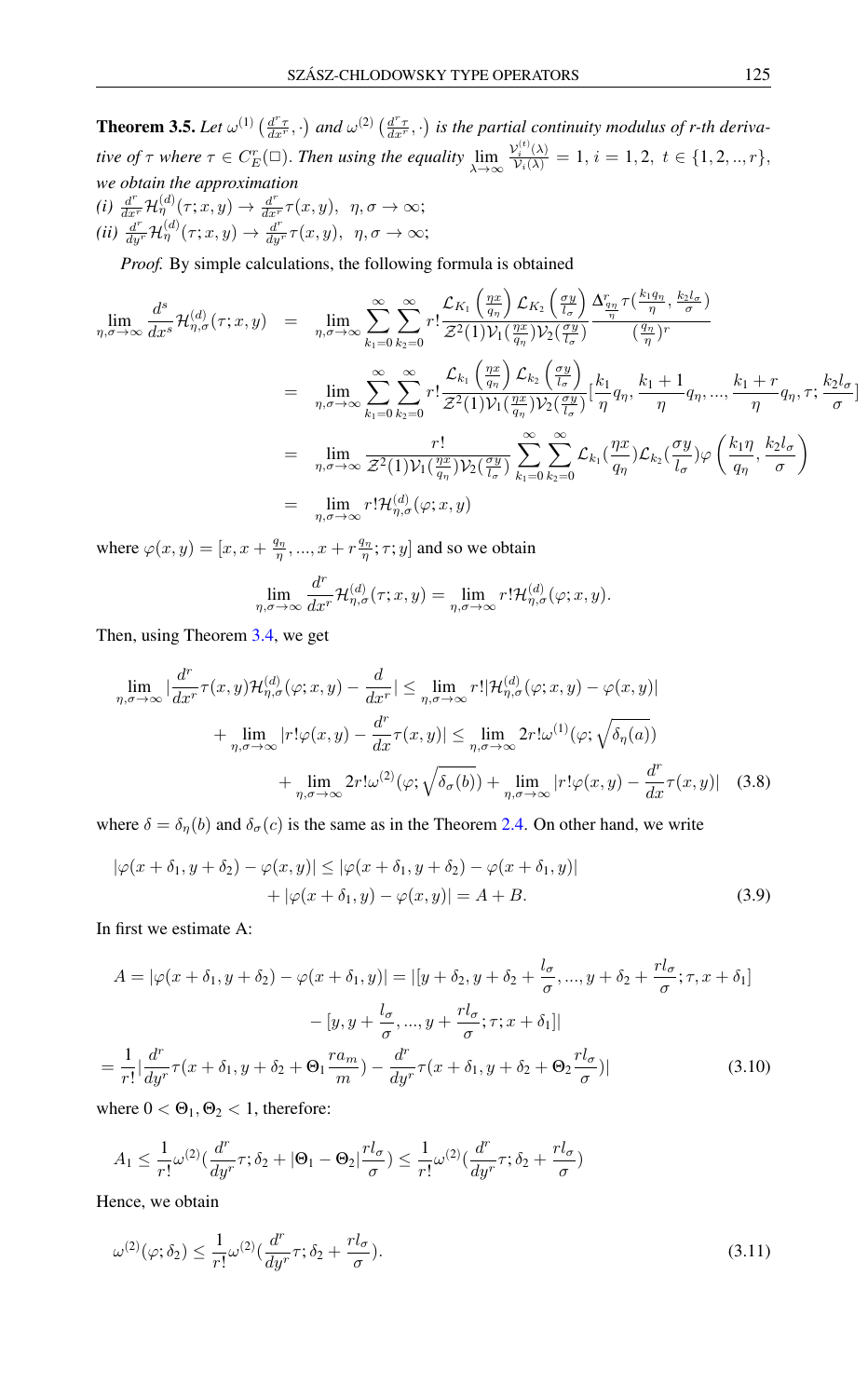**Theorem 3.5.** Let  $\omega^{(1)}\left(\frac{d^r\tau}{dx^r},\cdot\right)$  and  $\omega^{(2)}\left(\frac{d^r\tau}{dx^r},\cdot\right)$  is the partial continuity modulus of r-th deriva*tive of*  $\tau$  *where*  $\tau \in C_F^r(\square)$ *. Then using the equality*  $\lim_{\lambda \to \infty}$  $\frac{\mathcal{V}_i^{(t)}(\lambda)}{\mathcal{V}_i(\lambda)} = 1, i = 1, 2, t \in \{1, 2, ..., r\},\$ *we obtain the approximation*  $(i)\ \frac{d^r}{dx^r}\mathcal{H}^{(d)}_{\eta}(\tau;x,y)\rightarrow \frac{d^r}{dx^r}\tau(x,y),\ \ \eta,\sigma\rightarrow\infty;$  $(ii)$   $\frac{d^{r}}{dy^{r}}\mathcal{H}_{\eta}^{(d)}(\tau;x,y)\rightarrow\frac{d^{r}}{dy^{r}}\tau(x,y),$   $\eta,\sigma\rightarrow\infty;$ 

*Proof.* By simple calculations, the following formula is obtained

$$
\lim_{\eta,\sigma\to\infty} \frac{d^s}{dx^s} \mathcal{H}_{\eta,\sigma}^{(d)}(\tau;x,y) = \lim_{\eta,\sigma\to\infty} \sum_{k_1=0}^{\infty} \sum_{k_2=0}^{\infty} r! \frac{\mathcal{L}_{K_1} \left(\frac{\eta x}{q_{\eta}}\right) \mathcal{L}_{K_2} \left(\frac{\sigma y}{l_{\sigma}}\right)}{\mathcal{Z}^2(1) \mathcal{V}_1 \left(\frac{\eta x}{q_{\eta}}\right) \mathcal{V}_2 \left(\frac{\sigma y}{l_{\sigma}}\right)} \frac{\Delta_{\frac{\eta}{\eta}}^{\pi} \tau \left(\frac{k_1 q_{\eta}}{\eta}, \frac{k_2 l_{\sigma}}{\sigma}\right)}{\left(\frac{q_{\eta}}{\eta}\right)^r}
$$
\n
$$
= \lim_{\eta,\sigma\to\infty} \sum_{k_1=0}^{\infty} \sum_{k_2=0}^{\infty} r! \frac{\mathcal{L}_{k_1} \left(\frac{\eta x}{q_{\eta}}\right) \mathcal{L}_{k_2} \left(\frac{\sigma y}{l_{\sigma}}\right)}{\mathcal{Z}^2(1) \mathcal{V}_1 \left(\frac{\eta x}{q_{\eta}}\right) \mathcal{V}_2 \left(\frac{\sigma y}{l_{\sigma}}\right)} \left[\frac{k_1}{\eta} q_{\eta}, \frac{k_1+1}{\eta} q_{\eta}, \dots, \frac{k_1+r}{\eta} q_{\eta}, \tau; \frac{k_2 l_{\sigma}}{\sigma}\right]
$$
\n
$$
= \lim_{\eta,\sigma\to\infty} \frac{r!}{\mathcal{Z}^2(1) \mathcal{V}_1 \left(\frac{\eta x}{q_{\eta}}\right) \mathcal{V}_2 \left(\frac{\sigma y}{l_{\sigma}}\right)} \sum_{k_1=0}^{\infty} \sum_{k_2=0}^{\infty} \mathcal{L}_{k_1} \left(\frac{\eta x}{q_{\eta}}\right) \mathcal{L}_{k_2} \left(\frac{\sigma y}{l_{\sigma}}\right) \varphi \left(\frac{k_1 \eta}{q_{\eta}}, \frac{k_2 l_{\sigma}}{\sigma}\right)
$$
\n
$$
= \lim_{\eta,\sigma\to\infty} r! \mathcal{H}_{\eta,\sigma}^{(d)}(\varphi;x,y)
$$

where  $\varphi(x, y) = [x, x + \frac{q_{\eta}}{\eta}, ..., x + r \frac{q_{\eta}}{\eta}; \tau; y]$  and so we obtain

$$
\lim_{\eta,\sigma\to\infty}\frac{d^r}{dx^r}\mathcal{H}_{\eta,\sigma}^{(d)}(\tau;x,y)=\lim_{\eta,\sigma\to\infty}r!\mathcal{H}_{\eta,\sigma}^{(d)}(\varphi;x,y).
$$

Then, using Theorem [3.4,](#page-10-3) we get

$$
\lim_{\eta,\sigma \to \infty} |\frac{d^r}{dx^r} \tau(x,y) \mathcal{H}_{\eta,\sigma}^{(d)}(\varphi; x,y) - \frac{d}{dx^r}| \leq \lim_{\eta,\sigma \to \infty} r! |\mathcal{H}_{\eta,\sigma}^{(d)}(\varphi; x,y) - \varphi(x,y)|
$$
  
+ 
$$
\lim_{\eta,\sigma \to \infty} |r! \varphi(x,y) - \frac{d^r}{dx} \tau(x,y)| \leq \lim_{\eta,\sigma \to \infty} 2r! \omega^{(1)}(\varphi; \sqrt{\delta_{\eta}(a)})
$$
  
+ 
$$
\lim_{\eta,\sigma \to \infty} 2r! \omega^{(2)}(\varphi; \sqrt{\delta_{\sigma}(b)}) + \lim_{\eta,\sigma \to \infty} |r! \varphi(x,y) - \frac{d^r}{dx} \tau(x,y)| \quad (3.8)
$$

where  $\delta = \delta_{\eta}(b)$  and  $\delta_{\sigma}(c)$  is the same as in the Theorem [2.4.](#page-4-5) On other hand, we write

$$
|\varphi(x+\delta_1,y+\delta_2)-\varphi(x,y)| \le |\varphi(x+\delta_1,y+\delta_2)-\varphi(x+\delta_1,y)|
$$
  
+ 
$$
|\varphi(x+\delta_1,y)-\varphi(x,y)| = A+B.
$$
 (3.9)

In first we estimate A:

$$
A = |\varphi(x + \delta_1, y + \delta_2) - \varphi(x + \delta_1, y)| = |[y + \delta_2, y + \delta_2 + \frac{l_\sigma}{\sigma}, ..., y + \delta_2 + \frac{r l_\sigma}{\sigma}; \tau, x + \delta_1]
$$

$$
- [y, y + \frac{l_\sigma}{\sigma}, ..., y + \frac{r l_\sigma}{\sigma}; \tau; x + \delta_1]]
$$

$$
= \frac{1}{r!} |\frac{d^r}{dy^r} \tau(x + \delta_1, y + \delta_2 + \Theta_1 \frac{r a_m}{m}) - \frac{d^r}{dy^r} \tau(x + \delta_1, y + \delta_2 + \Theta_2 \frac{r l_\sigma}{\sigma})|
$$
(3.10)

where  $0 < \Theta_1, \Theta_2 < 1$ , therefore:

<span id="page-11-1"></span>
$$
A_1 \leq \frac{1}{r!} \omega^{(2)} \left( \frac{d^r}{dy^r} \tau; \delta_2 + |\Theta_1 - \Theta_2| \frac{r l_\sigma}{\sigma} \right) \leq \frac{1}{r!} \omega^{(2)} \left( \frac{d^r}{dy^r} \tau; \delta_2 + \frac{r l_\sigma}{\sigma} \right)
$$

Hence, we obtain

<span id="page-11-0"></span>
$$
\omega^{(2)}(\varphi;\delta_2) \le \frac{1}{r!} \omega^{(2)}\left(\frac{d^r}{dy^r}\tau;\delta_2 + \frac{rl_\sigma}{\sigma}\right). \tag{3.11}
$$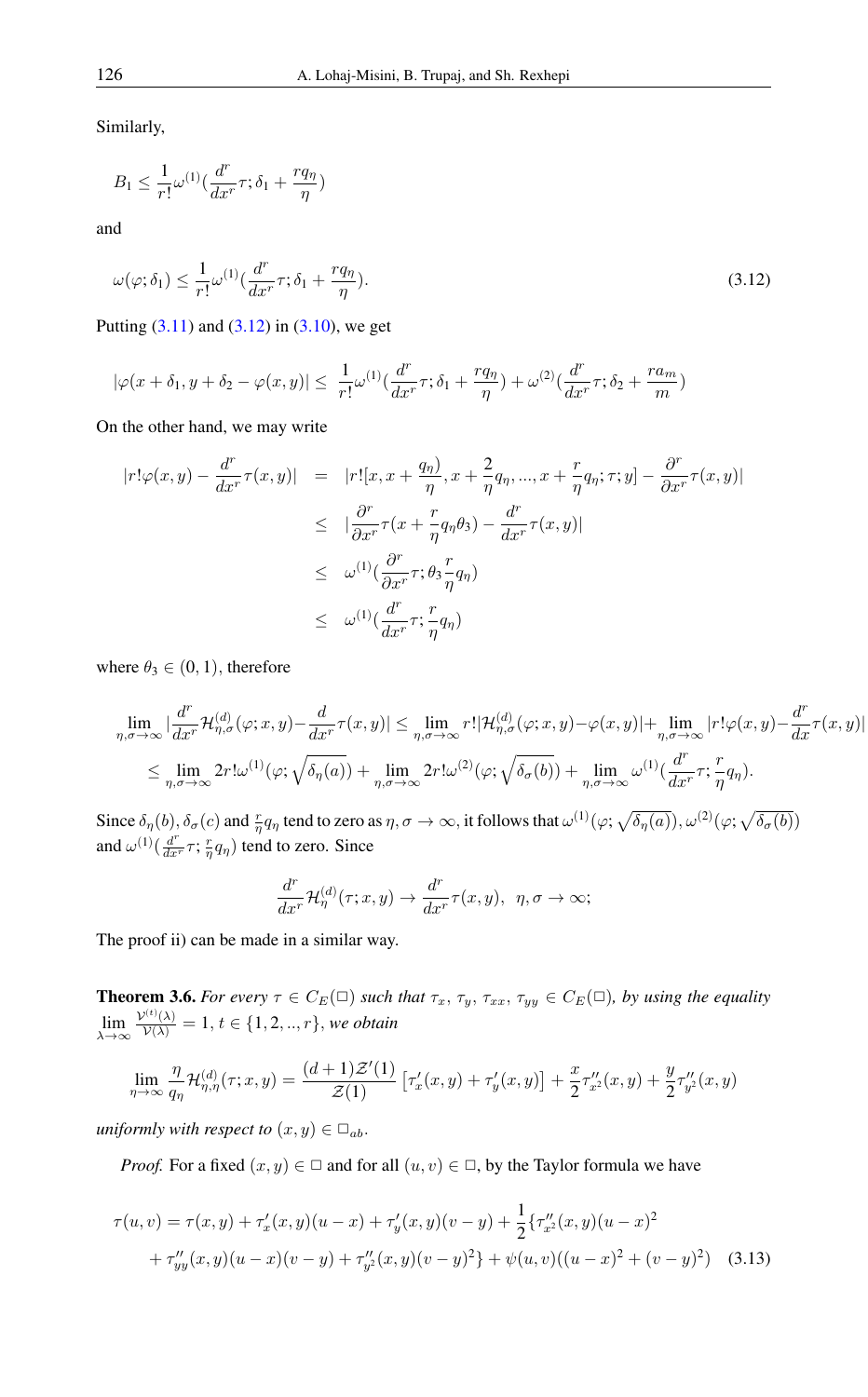Similarly,

$$
B_1 \le \frac{1}{r!} \omega^{(1)} \left( \frac{d^r}{dx^r} \tau; \delta_1 + \frac{rq_\eta}{\eta} \right)
$$

and

<span id="page-12-0"></span>
$$
\omega(\varphi;\delta_1) \le \frac{1}{r!} \omega^{(1)} \left(\frac{d^r}{dx^r} \tau; \delta_1 + \frac{rq_\eta}{\eta}\right). \tag{3.12}
$$

Putting  $(3.11)$  and  $(3.12)$  in  $(3.10)$ , we get

$$
|\varphi(x+\delta_1,y+\delta_2-\varphi(x,y)|\leq \frac{1}{r!}\omega^{(1)}(\frac{d^r}{dx^r}\tau;\delta_1+\frac{rq_\eta}{\eta})+\omega^{(2)}(\frac{d^r}{dx^r}\tau;\delta_2+\frac{ra_m}{m})
$$

On the other hand, we may write

$$
|r! \varphi(x, y) - \frac{d^r}{dx^r} \tau(x, y)| = |r! [x, x + \frac{q_\eta}{\eta}, x + \frac{2}{\eta} q_\eta, ..., x + \frac{r}{\eta} q_\eta; \tau; y] - \frac{\partial^r}{\partial x^r} \tau(x, y)|
$$
  
\n
$$
\leq |\frac{\partial^r}{\partial x^r} \tau(x + \frac{r}{\eta} q_\eta \theta_3) - \frac{d^r}{dx^r} \tau(x, y)|
$$
  
\n
$$
\leq \omega^{(1)}(\frac{\partial^r}{\partial x^r} \tau; \theta_3 \frac{r}{\eta} q_\eta)
$$
  
\n
$$
\leq \omega^{(1)}(\frac{d^r}{dx^r} \tau; \frac{r}{\eta} q_\eta)
$$

where  $\theta_3 \in (0, 1)$ , therefore

$$
\begin{aligned} &\lim_{\eta,\sigma\rightarrow\infty}|\frac{d^r}{dx^r}\mathcal{H}^{(d)}_{\eta,\sigma}(\varphi;x,y)-\frac{d}{dx^r}\tau(x,y)|\leq \lim_{\eta,\sigma\rightarrow\infty}r!|\mathcal{H}^{(d)}_{\eta,\sigma}(\varphi;x,y)-\varphi(x,y)|+\lim_{\eta,\sigma\rightarrow\infty}|r!\varphi(x,y)-\frac{d^r}{dx}\tau(x,y)|\\ &\leq \lim_{\eta,\sigma\rightarrow\infty}2r!\omega^{(1)}(\varphi;\sqrt{\delta_{\eta}(a)})+\lim_{\eta,\sigma\rightarrow\infty}2r!\omega^{(2)}(\varphi;\sqrt{\delta_{\sigma}(b)})+\lim_{\eta,\sigma\rightarrow\infty}\omega^{(1)}(\frac{d^r}{dx^r}\tau;\frac{r}{\eta}q_{\eta}). \end{aligned}
$$

Since  $\delta_{\eta}(b), \delta_{\sigma}(c)$  and  $\frac{r}{\eta}q_{\eta}$  tend to zero as  $\eta, \sigma \to \infty$ , it follows that  $\omega^{(1)}(\varphi; \sqrt{\delta_{\eta}(a)})$ ,  $\omega^{(2)}(\varphi; \sqrt{\delta_{\sigma}(b)})$ and  $\omega^{(1)}(\frac{d^r}{dx^r}\tau; \frac{r}{\eta}q_{\eta})$  tend to zero. Since

<span id="page-12-1"></span>
$$
\frac{d^r}{dx^r}\mathcal{H}^{(d)}_{\eta}(\tau;x,y)\to \frac{d^r}{dx^r}\tau(x,y), \ \ \eta,\sigma\to\infty;
$$

The proof ii) can be made in a similar way.

**Theorem 3.6.** *For every*  $\tau \in C_E(\square)$  *such that*  $\tau_x$ ,  $\tau_y$ ,  $\tau_{xx}$ ,  $\tau_{yy} \in C_E(\square)$ *, by using the equality* lim λ→∞  $\frac{\mathcal{V}^{(t)}(\lambda)}{\mathcal{V}(\lambda)} = 1, t \in \{1, 2, ..., r\},$  we obtain

$$
\lim_{\eta \to \infty} \frac{\eta}{q_{\eta}} \mathcal{H}_{\eta, \eta}^{(d)}(\tau; x, y) = \frac{(d+1)\mathcal{Z}'(1)}{\mathcal{Z}(1)} \left[ \tau_x'(x, y) + \tau_y'(x, y) \right] + \frac{x}{2} \tau_{x^2}''(x, y) + \frac{y}{2} \tau_{y^2}''(x, y)
$$

*uniformly with respect to*  $(x, y) \in \Box_{ab}$ .

*Proof.* For a fixed  $(x, y) \in \square$  and for all  $(u, v) \in \square$ , by the Taylor formula we have

$$
\tau(u,v) = \tau(x,y) + \tau'_x(x,y)(u-x) + \tau'_y(x,y)(v-y) + \frac{1}{2} \{\tau''_{x^2}(x,y)(u-x)^2
$$

$$
+ \tau''_{yy}(x,y)(u-x)(v-y) + \tau''_{y^2}(x,y)(v-y)^2\} + \psi(u,v)((u-x)^2 + (v-y)^2)
$$
(3.13)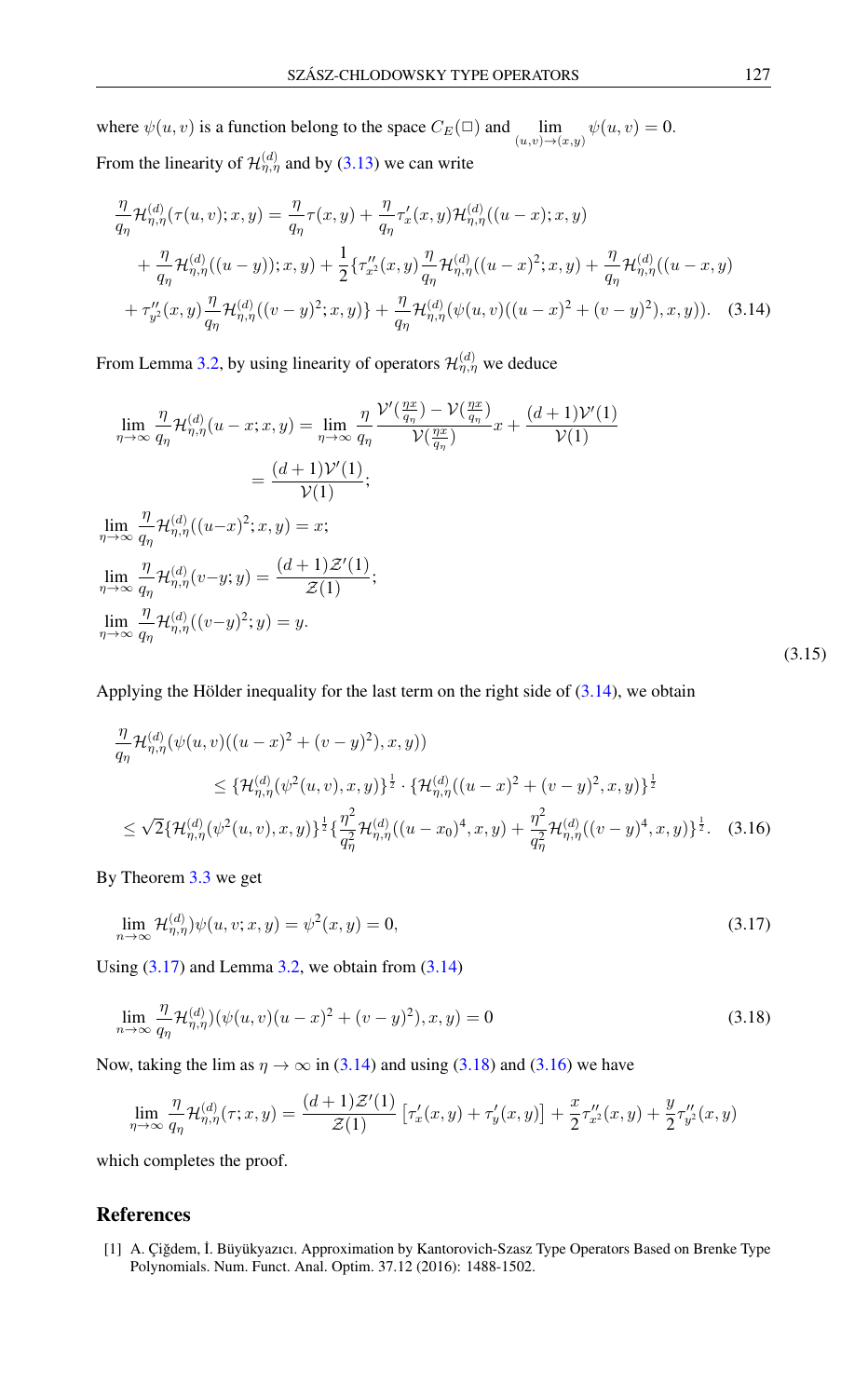where  $\psi(u, v)$  is a function belong to the space  $C_E(\square)$  and  $\lim_{(u,v)\to(x,y)} \psi(u, v) = 0$ . From the linearity of  $\mathcal{H}_{\eta,\eta}^{(d)}$  and by [\(3.13\)](#page-12-1) we can write

<span id="page-13-2"></span>
$$
\frac{\eta}{q_{\eta}}\mathcal{H}_{\eta,\eta}^{(d)}(\tau(u,v);x,y) = \frac{\eta}{q_{\eta}}\tau(x,y) + \frac{\eta}{q_{\eta}}\tau_x'(x,y)\mathcal{H}_{\eta,\eta}^{(d)}((u-x);x,y) \n+ \frac{\eta}{q_{\eta}}\mathcal{H}_{\eta,\eta}^{(d)}((u-y));x,y) + \frac{1}{2}\{\tau_{x}''(x,y)\frac{\eta}{q_{\eta}}\mathcal{H}_{\eta,\eta}^{(d)}((u-x)^2;x,y) + \frac{\eta}{q_{\eta}}\mathcal{H}_{\eta,\eta}^{(d)}((u-x,y) \n+ \tau_{y}''(x,y)\frac{\eta}{q_{\eta}}\mathcal{H}_{\eta,\eta}^{(d)}((v-y)^2;x,y)\} + \frac{\eta}{q_{\eta}}\mathcal{H}_{\eta,\eta}^{(d)}(\psi(u,v)((u-x)^2 + (v-y)^2),x,y)).
$$
\n(3.14)

From Lemma [3.2,](#page-9-2) by using linearity of operators  $\mathcal{H}_{\eta,\eta}^{(d)}$  we deduce

$$
\lim_{\eta \to \infty} \frac{\eta}{q_{\eta}} \mathcal{H}_{\eta,\eta}^{(d)}(u-x;x,y) = \lim_{\eta \to \infty} \frac{\eta}{q_{\eta}} \frac{\mathcal{V}'(\frac{\eta x}{q_{\eta}}) - \mathcal{V}(\frac{\eta x}{q_{\eta}})}{\mathcal{V}(\frac{\eta x}{q_{\eta}})} x + \frac{(d+1)\mathcal{V}'(1)}{\mathcal{V}(1)}
$$
\n
$$
= \frac{(d+1)\mathcal{V}'(1)}{\mathcal{V}(1)};
$$
\n
$$
\lim_{\eta \to \infty} \frac{\eta}{q_{\eta}} \mathcal{H}_{\eta,\eta}^{(d)}((u-x)^2;x,y) = x;
$$
\n
$$
\lim_{\eta \to \infty} \frac{\eta}{q_{\eta}} \mathcal{H}_{\eta,\eta}^{(d)}(v-y;y) = \frac{(d+1)\mathcal{Z}'(1)}{\mathcal{Z}(1)};
$$
\n
$$
\lim_{\eta \to \infty} \frac{\eta}{q_{\eta}} \mathcal{H}_{\eta,\eta}^{(d)}((v-y)^2;y) = y.
$$
\n(3.15)

Applying the Hölder inequality for the last term on the right side of  $(3.14)$ , we obtain

<span id="page-13-5"></span>
$$
\frac{\eta}{q_{\eta}}\mathcal{H}_{\eta,\eta}^{(d)}(\psi(u,v)((u-x)^{2}+(v-y)^{2}),x,y))
$$
\n
$$
\leq \{\mathcal{H}_{\eta,\eta}^{(d)}(\psi^{2}(u,v),x,y)\}^{\frac{1}{2}}\cdot\{\mathcal{H}_{\eta,\eta}^{(d)}((u-x)^{2}+(v-y)^{2},x,y)\}^{\frac{1}{2}}
$$
\n
$$
\leq \sqrt{2}\{\mathcal{H}_{\eta,\eta}^{(d)}(\psi^{2}(u,v),x,y)\}^{\frac{1}{2}}\{\frac{\eta^{2}}{q_{\eta}^{2}}\mathcal{H}_{\eta,\eta}^{(d)}((u-x_{0})^{4},x,y)+\frac{\eta^{2}}{q_{\eta}^{2}}\mathcal{H}_{\eta,\eta}^{(d)}((v-y)^{4},x,y)\}^{\frac{1}{2}}.
$$
\n(3.16)

By Theorem [3.3](#page-10-4) we get

<span id="page-13-3"></span>
$$
\lim_{n \to \infty} \mathcal{H}_{\eta,\eta}^{(d)} \psi(u,v;x,y) = \psi^2(x,y) = 0,\tag{3.17}
$$

Using  $(3.17)$  and Lemma [3.2,](#page-9-2) we obtain from  $(3.14)$ 

$$
\lim_{n \to \infty} \frac{\eta}{q_{\eta}} \mathcal{H}_{\eta,\eta}^{(d)}(\psi(u,v)(u-x)^2 + (v-y)^2), x, y) = 0
$$
\n(3.18)

Now, taking the lim as  $\eta \to \infty$  in [\(3.14\)](#page-13-2) and using [\(3.18\)](#page-13-4) and [\(3.16\)](#page-13-5) we have

<span id="page-13-4"></span>
$$
\lim_{\eta \to \infty} \frac{\eta}{q_{\eta}} \mathcal{H}_{\eta,\eta}^{(d)}(\tau; x, y) = \frac{(d+1)\mathcal{Z}'(1)}{\mathcal{Z}(1)} \left[ \tau_x'(x, y) + \tau_y'(x, y) \right] + \frac{x}{2} \tau_{x^2}''(x, y) + \frac{y}{2} \tau_{y^2}''(x, y)
$$

which completes the proof.

## <span id="page-13-0"></span>References

<span id="page-13-1"></span>[1] A. Çiğdem, İ. Büyükyazıcı. Approximation by Kantorovich-Szasz Type Operators Based on Brenke Type Polynomials. Num. Funct. Anal. Optim. 37.12 (2016): 1488-1502.